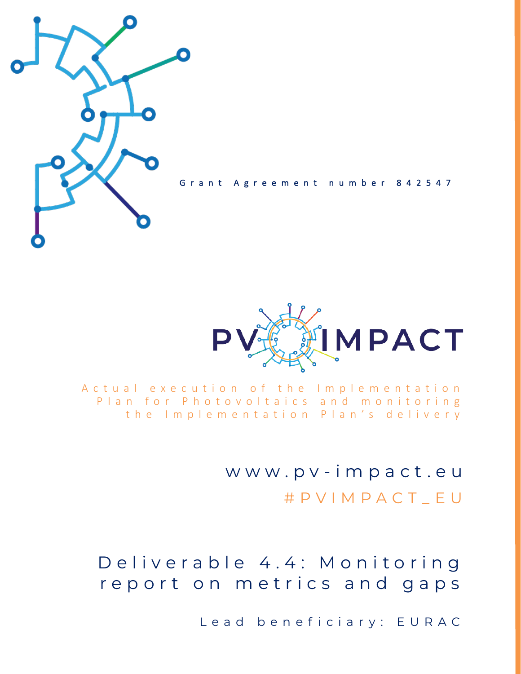

Grant Agreement number 842547



A c t u a l e x e c u t i o n o f t h e Implementation Plan for Photovoltaics and monitoring the Implementation Plan's delivery

> w w w . p v - i m p a c t . e u # P V I M P A C T \_ E U

Deliverable 4.4: Monitoring report on metrics and gaps

Lead beneficiary: EURAC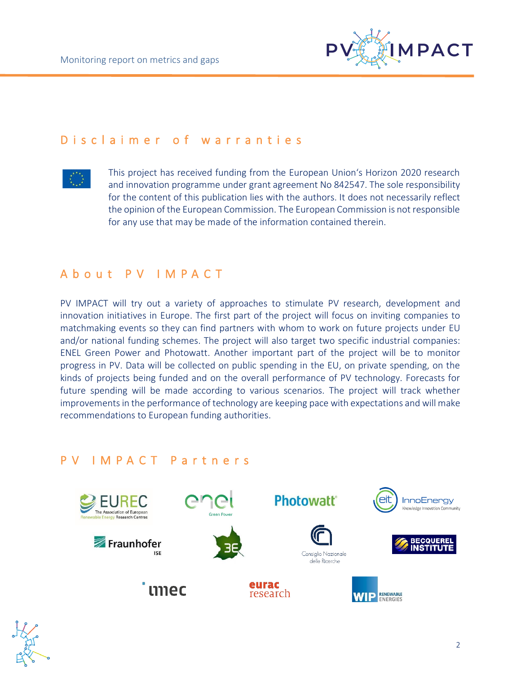

### D is claimer of warranties



This project has received funding from the European Union's Horizon 2020 research and innovation programme under grant agreement No 842547. The sole responsibility for the content of this publication lies with the authors. It does not necessarily reflect the opinion of the European Commission. The European Commission is not responsible for any use that may be made of the information contained therein.

### A b o u t P V I M P A C T

PV IMPACT will try out a variety of approaches to stimulate PV research, development and innovation initiatives in Europe. The first part of the project will focus on inviting companies to matchmaking events so they can find partners with whom to work on future projects under EU and/or national funding schemes. The project will also target two specific industrial companies: ENEL Green Power and Photowatt. Another important part of the project will be to monitor progress in PV. Data will be collected on public spending in the EU, on private spending, on the kinds of projects being funded and on the overall performance of PV technology. Forecasts for future spending will be made according to various scenarios. The project will track whether improvements in the performance of technology are keeping pace with expectations and will make recommendations to European funding authorities.

### P V I M P A C T P a r t n e r s



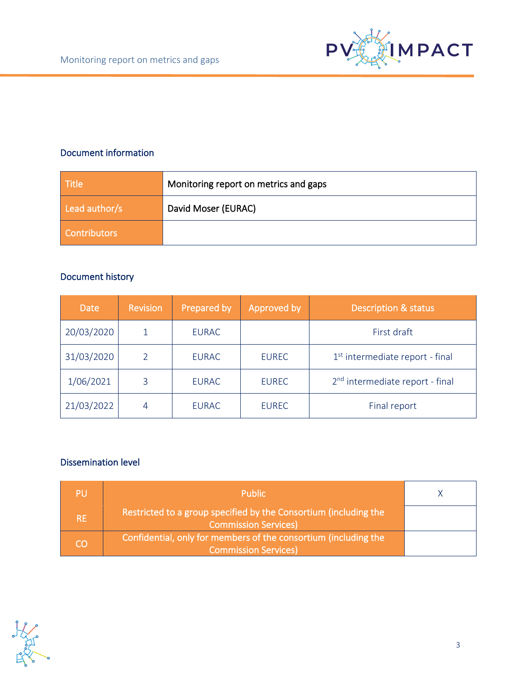

### Document information

| <b>Title</b>        | Monitoring report on metrics and gaps |
|---------------------|---------------------------------------|
| Lead author/s       | David Moser (EURAC)                   |
| <b>Contributors</b> |                                       |

#### Document history

| <b>Date</b> | <b>Revision</b> | Prepared by  | Approved by  | <b>Description &amp; status</b>             |
|-------------|-----------------|--------------|--------------|---------------------------------------------|
| 20/03/2020  |                 | <b>EURAC</b> |              | First draft                                 |
| 31/03/2020  |                 | <b>EURAC</b> | <b>EUREC</b> | 1 <sup>st</sup> intermediate report - final |
| 1/06/2021   | 3               | <b>EURAC</b> | <b>EUREC</b> | 2 <sup>nd</sup> intermediate report - final |
| 21/03/2022  | $\overline{4}$  | <b>EURAC</b> | <b>EUREC</b> | Final report                                |

### Dissemination level

| PU        | <b>Public</b>                                                                                   |  |
|-----------|-------------------------------------------------------------------------------------------------|--|
| <b>RE</b> | Restricted to a group specified by the Consortium (including the<br><b>Commission Services)</b> |  |
| CO        | Confidential, only for members of the consortium (including the<br><b>Commission Services)</b>  |  |

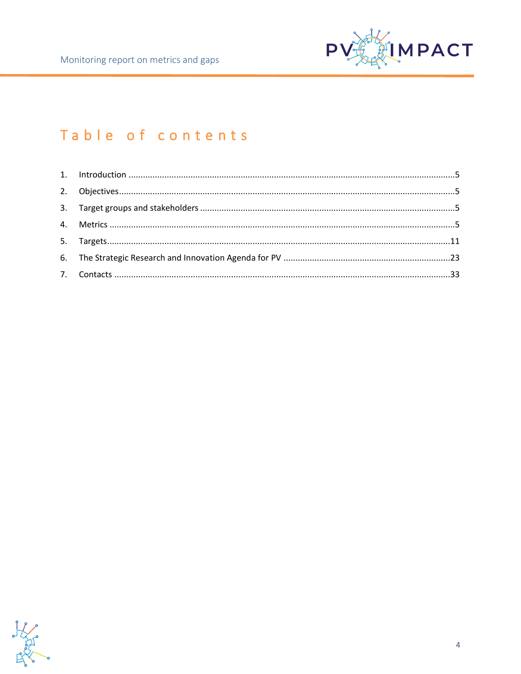

# Table of contents

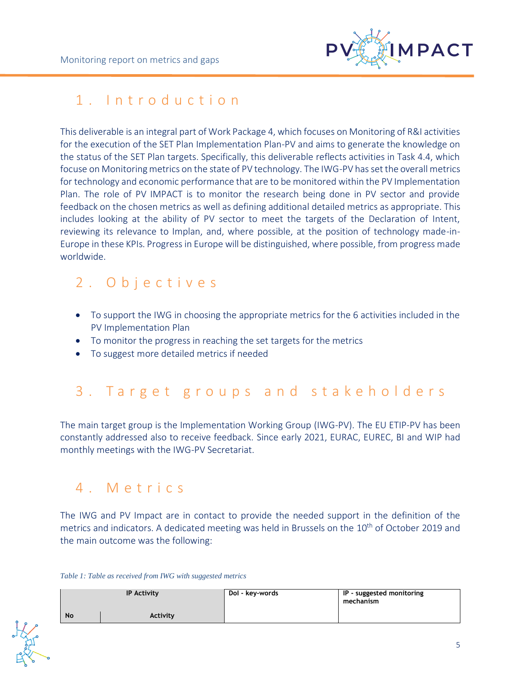

# <span id="page-4-0"></span>1. Introduction

This deliverable is an integral part of Work Package 4, which focuses on Monitoring of R&I activities for the execution of the SET Plan Implementation Plan-PV and aims to generate the knowledge on the status of the SET Plan targets. Specifically, this deliverable reflects activities in Task 4.4, which focuse on Monitoring metrics on the state of PV technology. The IWG-PV has set the overall metrics for technology and economic performance that are to be monitored within the PV Implementation Plan. The role of PV IMPACT is to monitor the research being done in PV sector and provide feedback on the chosen metrics as well as defining additional detailed metrics as appropriate. This includes looking at the ability of PV sector to meet the targets of the Declaration of Intent, reviewing its relevance to Implan, and, where possible, at the position of technology made-in-Europe in these KPIs. Progress in Europe will be distinguished, where possible, from progress made worldwide.

# <span id="page-4-1"></span>2 . O b j e c t i v e s

- To support the IWG in choosing the appropriate metrics for the 6 activities included in the PV Implementation Plan
- To monitor the progress in reaching the set targets for the metrics
- To suggest more detailed metrics if needed

# <span id="page-4-2"></span>3. Target groups and stakeholders

The main target group is the Implementation Working Group (IWG-PV). The EU ETIP-PV has been constantly addressed also to receive feedback. Since early 2021, EURAC, EUREC, BI and WIP had monthly meetings with the IWG-PV Secretariat.

# <span id="page-4-3"></span>4 . M e t r i c s

The IWG and PV Impact are in contact to provide the needed support in the definition of the metrics and indicators. A dedicated meeting was held in Brussels on the 10<sup>th</sup> of October 2019 and the main outcome was the following:

*Table 1: Table as received from IWG with suggested metrics*

|           | <b>IP Activity</b> | Dol - key-words | IP - suggested monitoring<br>mechanism |
|-----------|--------------------|-----------------|----------------------------------------|
| <b>No</b> | <b>Activity</b>    |                 |                                        |

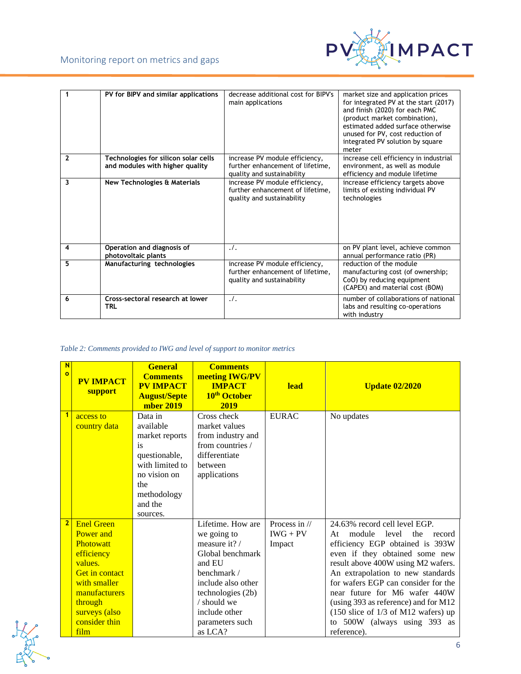

|              | PV for BIPV and similar applications                                    | decrease additional cost for BIPV's<br>main applications                                         | market size and application prices<br>for integrated PV at the start (2017)<br>and finish (2020) for each PMC<br>(product market combination),<br>estimated added surface otherwise<br>unused for PV, cost reduction of<br>integrated PV solution by square<br>meter |
|--------------|-------------------------------------------------------------------------|--------------------------------------------------------------------------------------------------|----------------------------------------------------------------------------------------------------------------------------------------------------------------------------------------------------------------------------------------------------------------------|
| $\mathbf{2}$ | Technologies for silicon solar cells<br>and modules with higher quality | increase PV module efficiency,<br>further enhancement of lifetime,<br>quality and sustainability | increase cell efficiency in industrial<br>environment, as well as module<br>efficiency and module lifetime                                                                                                                                                           |
| 3            | New Technologies & Materials                                            | increase PV module efficiency,<br>further enhancement of lifetime,<br>quality and sustainability | increase efficiency targets above<br>limits of existing individual PV<br>technologies                                                                                                                                                                                |
| 4            | Operation and diagnosis of<br>photovoltaic plants                       | $\cdot$ .                                                                                        | on PV plant level, achieve common<br>annual performance ratio (PR)                                                                                                                                                                                                   |
| 5            | Manufacturing technologies                                              | increase PV module efficiency,<br>further enhancement of lifetime,<br>quality and sustainability | reduction of the module<br>manufacturing cost (of ownership;<br>CoO) by reducing equipment<br>(CAPEX) and material cost (BOM)                                                                                                                                        |
| 6            | Cross-sectoral research at lower<br>TRL                                 | $\cdot$ .                                                                                        | number of collaborations of national<br>labs and resulting co-operations<br>with industry                                                                                                                                                                            |

#### *Table 2: Comments provided to IWG and level of support to monitor metrics*

| N<br>$\bullet$ | <b>PV IMPACT</b><br>support   | <b>General</b><br><b>Comments</b><br><b>PV IMPACT</b><br><b>August/Septe</b><br>mber 2019 | <b>Comments</b><br>meeting IWG/PV<br><b>IMPACT</b><br>10 <sup>th</sup> October<br>2019 | <b>lead</b>   | <b>Update 02/2020</b>                                             |
|----------------|-------------------------------|-------------------------------------------------------------------------------------------|----------------------------------------------------------------------------------------|---------------|-------------------------------------------------------------------|
| $\overline{1}$ | access to                     | Data in                                                                                   | Cross check                                                                            | <b>EURAC</b>  | No updates                                                        |
|                | country data                  | available                                                                                 | market values                                                                          |               |                                                                   |
|                |                               | market reports                                                                            | from industry and                                                                      |               |                                                                   |
|                |                               | is<br>questionable,                                                                       | from countries /<br>differentiate                                                      |               |                                                                   |
|                |                               | with limited to                                                                           | between                                                                                |               |                                                                   |
|                |                               | no vision on                                                                              | applications                                                                           |               |                                                                   |
|                |                               | the                                                                                       |                                                                                        |               |                                                                   |
|                |                               | methodology                                                                               |                                                                                        |               |                                                                   |
|                |                               | and the                                                                                   |                                                                                        |               |                                                                   |
|                |                               | sources.                                                                                  |                                                                                        |               |                                                                   |
| $\overline{2}$ | <b>Enel Green</b>             |                                                                                           | Lifetime. How are                                                                      | Process in // | 24.63% record cell level EGP.                                     |
|                | <b>Power</b> and<br>Photowatt |                                                                                           | we going to<br>measure it? /                                                           | $IWG + PV$    | At module<br>level<br>the<br>record                               |
|                | efficiency                    |                                                                                           | Global benchmark                                                                       | Impact        | efficiency EGP obtained is 393W<br>even if they obtained some new |
|                | values.                       |                                                                                           | and EU                                                                                 |               | result above 400W using M2 wafers.                                |
|                | <b>Get in contact</b>         |                                                                                           | benchmark /                                                                            |               | An extrapolation to new standards                                 |
|                | with smaller                  |                                                                                           | include also other                                                                     |               | for wafers EGP can consider for the                               |
|                | manufacturers                 |                                                                                           | technologies (2b)                                                                      |               | near future for M6 wafer 440W                                     |
|                | through                       |                                                                                           | / should we                                                                            |               | (using 393 as reference) and for M12                              |
|                | surveys (also                 |                                                                                           | include other                                                                          |               | $(150 \text{ slice of } 1/3 \text{ of } M12 \text{ wafers})$ up   |
|                | consider thin                 |                                                                                           | parameters such                                                                        |               | to 500W (always using 393 as                                      |
|                | film                          |                                                                                           | as LCA?                                                                                |               | reference).                                                       |

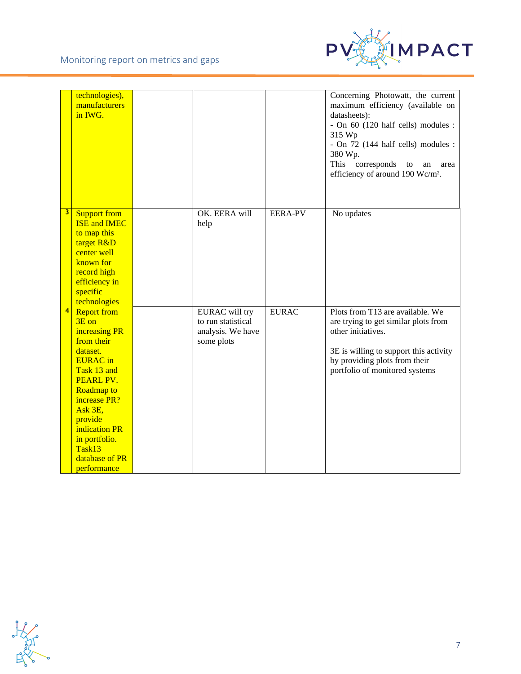

|                 | technologies),<br>manufacturers<br>in IWG.                                                                                                                                                                                                                    |                                                                                |                | Concerning Photowatt, the current<br>maximum efficiency (available on<br>datasheets):<br>- On 60 (120 half cells) modules :<br>315 Wp<br>- On 72 (144 half cells) modules :<br>380 Wp.<br>This<br>corresponds<br>to<br>an<br>area<br>efficiency of around 190 Wc/m <sup>2</sup> . |
|-----------------|---------------------------------------------------------------------------------------------------------------------------------------------------------------------------------------------------------------------------------------------------------------|--------------------------------------------------------------------------------|----------------|-----------------------------------------------------------------------------------------------------------------------------------------------------------------------------------------------------------------------------------------------------------------------------------|
| 3 <sup>1</sup>  | <b>Support from</b><br><b>ISE and IMEC</b><br>to map this<br>target R&D<br>center well<br>known for<br>record high<br>efficiency in<br>specific<br>technologies                                                                                               | OK. EERA will<br>help                                                          | <b>EERA-PV</b> | No updates                                                                                                                                                                                                                                                                        |
| $\vert 4 \vert$ | <b>Report from</b><br>3E on<br>increasing PR<br>from their<br>dataset.<br><b>EURAC</b> in<br>Task 13 and<br>PEARL PV.<br><b>Roadmap to</b><br>increase PR?<br>Ask 3E,<br>provide<br>indication PR<br>in portfolio.<br>Task13<br>database of PR<br>performance | <b>EURAC</b> will try<br>to run statistical<br>analysis. We have<br>some plots | <b>EURAC</b>   | Plots from T13 are available. We<br>are trying to get similar plots from<br>other initiatives.<br>3E is willing to support this activity<br>by providing plots from their<br>portfolio of monitored systems                                                                       |

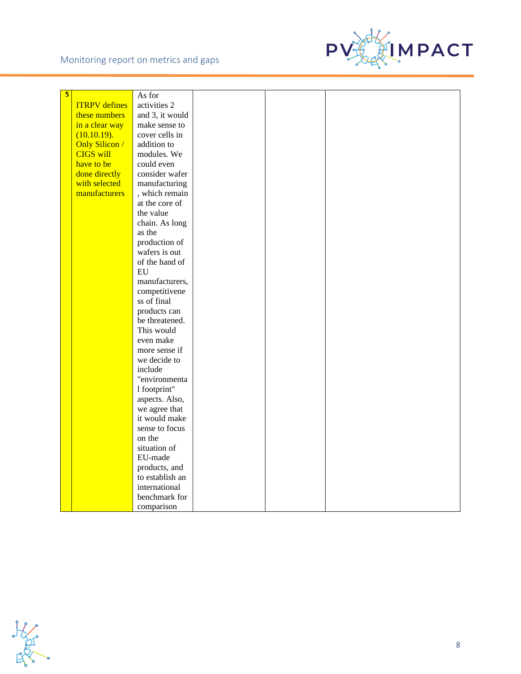#### Monitoring report on metrics and gaps



| $5\phantom{a}$<br>As for<br><b>ITRPV</b> defines<br>activities 2 |  |
|------------------------------------------------------------------|--|
|                                                                  |  |
|                                                                  |  |
| and 3, it would<br>these numbers                                 |  |
| make sense to<br>in a clear way                                  |  |
| cover cells in<br>(10.10.19).                                    |  |
| <b>Only Silicon /</b><br>addition to                             |  |
| <b>CIGS will</b><br>modules. We                                  |  |
| have to be<br>could even                                         |  |
| done directly<br>consider wafer                                  |  |
| with selected<br>manufacturing                                   |  |
| manufacturers<br>, which remain                                  |  |
| at the core of                                                   |  |
| the value                                                        |  |
| chain. As long                                                   |  |
| as the                                                           |  |
| production of                                                    |  |
| wafers is out                                                    |  |
| of the hand of                                                   |  |
| EU                                                               |  |
| manufacturers,                                                   |  |
| competitivene                                                    |  |
| ss of final                                                      |  |
| products can                                                     |  |
| be threatened.                                                   |  |
| This would                                                       |  |
| even make                                                        |  |
| more sense if                                                    |  |
| we decide to                                                     |  |
| include                                                          |  |
| "environmenta                                                    |  |
| 1 footprint"                                                     |  |
| aspects. Also,                                                   |  |
| we agree that                                                    |  |
| it would make                                                    |  |
| sense to focus                                                   |  |
| on the                                                           |  |
| situation of                                                     |  |
| EU-made                                                          |  |
| products, and                                                    |  |
| to establish an                                                  |  |
| international                                                    |  |
| benchmark for                                                    |  |
| comparison                                                       |  |

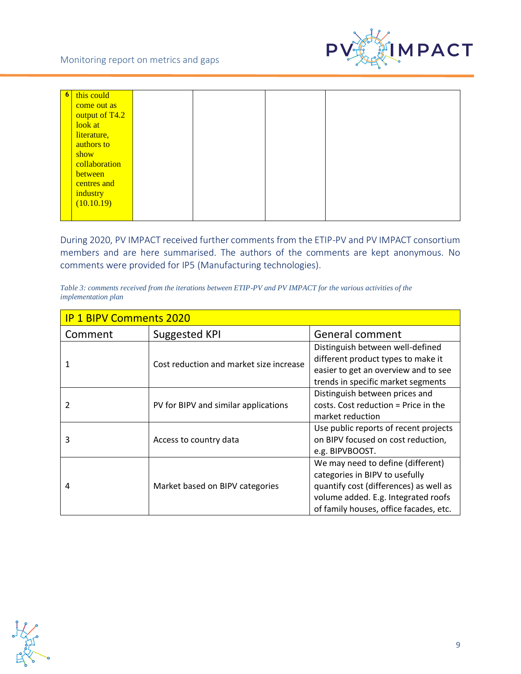

| $\begin{array}{ c c c }\hline \mathbf{6} \end{array}$ | this could     |  |  |
|-------------------------------------------------------|----------------|--|--|
|                                                       | come out as    |  |  |
|                                                       | output of T4.2 |  |  |
|                                                       | look at        |  |  |
|                                                       | literature,    |  |  |
|                                                       | authors to     |  |  |
|                                                       | show           |  |  |
|                                                       | collaboration  |  |  |
|                                                       | between        |  |  |
|                                                       | centres and    |  |  |
|                                                       | industry       |  |  |
|                                                       | (10.10.19)     |  |  |
|                                                       |                |  |  |

During 2020, PV IMPACT received further comments from the ETIP-PV and PV IMPACT consortium members and are here summarised. The authors of the comments are kept anonymous. No comments were provided for IP5 (Manufacturing technologies).

| Table 3: comments received from the iterations between ETIP-PV and PV IMPACT for the various activities of the |  |  |
|----------------------------------------------------------------------------------------------------------------|--|--|
| <i>implementation plan</i>                                                                                     |  |  |

| <b>IP 1 BIPV Comments 2020</b> |                                         |                                        |  |  |
|--------------------------------|-----------------------------------------|----------------------------------------|--|--|
| Comment                        | <b>Suggested KPI</b>                    | General comment                        |  |  |
|                                |                                         | Distinguish between well-defined       |  |  |
|                                | Cost reduction and market size increase | different product types to make it     |  |  |
|                                |                                         | easier to get an overview and to see   |  |  |
|                                |                                         | trends in specific market segments     |  |  |
|                                |                                         | Distinguish between prices and         |  |  |
|                                | PV for BIPV and similar applications    | costs. Cost reduction = Price in the   |  |  |
|                                |                                         | market reduction                       |  |  |
|                                |                                         | Use public reports of recent projects  |  |  |
| 3                              | Access to country data                  | on BIPV focused on cost reduction,     |  |  |
|                                |                                         | e.g. BIPVBOOST.                        |  |  |
|                                |                                         | We may need to define (different)      |  |  |
|                                |                                         | categories in BIPV to usefully         |  |  |
| 4                              | Market based on BIPV categories         | quantify cost (differences) as well as |  |  |
|                                |                                         | volume added. E.g. Integrated roofs    |  |  |
|                                |                                         | of family houses, office facades, etc. |  |  |

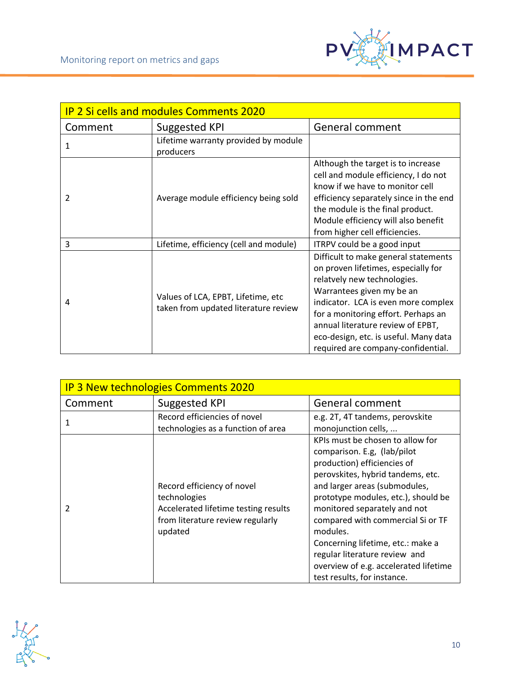

| <b>IP 2 Si cells and modules Comments 2020</b> |                                                                            |                                                                                                                                                                                                                                                                                                                                           |  |  |
|------------------------------------------------|----------------------------------------------------------------------------|-------------------------------------------------------------------------------------------------------------------------------------------------------------------------------------------------------------------------------------------------------------------------------------------------------------------------------------------|--|--|
| Comment                                        | Suggested KPI                                                              | General comment                                                                                                                                                                                                                                                                                                                           |  |  |
| 1                                              | Lifetime warranty provided by module<br>producers                          |                                                                                                                                                                                                                                                                                                                                           |  |  |
| 2                                              | Average module efficiency being sold                                       | Although the target is to increase<br>cell and module efficiency, I do not<br>know if we have to monitor cell<br>efficiency separately since in the end<br>the module is the final product.<br>Module efficiency will also benefit<br>from higher cell efficiencies.                                                                      |  |  |
| 3                                              | Lifetime, efficiency (cell and module)                                     | ITRPV could be a good input                                                                                                                                                                                                                                                                                                               |  |  |
| 4                                              | Values of LCA, EPBT, Lifetime, etc<br>taken from updated literature review | Difficult to make general statements<br>on proven lifetimes, especially for<br>relatvely new technologies.<br>Warrantees given my be an<br>indicator. LCA is even more complex<br>for a monitoring effort. Perhaps an<br>annual literature review of EPBT,<br>eco-design, etc. is useful. Many data<br>required are company-confidential. |  |  |

| <b>IP 3 New technologies Comments 2020</b> |                                                                                                                                   |                                                                                                                                                                                                                                                                                                                                                                                                                                            |  |  |
|--------------------------------------------|-----------------------------------------------------------------------------------------------------------------------------------|--------------------------------------------------------------------------------------------------------------------------------------------------------------------------------------------------------------------------------------------------------------------------------------------------------------------------------------------------------------------------------------------------------------------------------------------|--|--|
| Comment                                    | Suggested KPI                                                                                                                     | General comment                                                                                                                                                                                                                                                                                                                                                                                                                            |  |  |
|                                            | Record efficiencies of novel<br>technologies as a function of area                                                                | e.g. 2T, 4T tandems, perovskite<br>monojunction cells,                                                                                                                                                                                                                                                                                                                                                                                     |  |  |
| 2                                          | Record efficiency of novel<br>technologies<br>Accelerated lifetime testing results<br>from literature review regularly<br>updated | KPIs must be chosen to allow for<br>comparison. E.g. (lab/pilot<br>production) efficiencies of<br>perovskites, hybrid tandems, etc.<br>and larger areas (submodules,<br>prototype modules, etc.), should be<br>monitored separately and not<br>compared with commercial Si or TF<br>modules.<br>Concerning lifetime, etc.: make a<br>regular literature review and<br>overview of e.g. accelerated lifetime<br>test results, for instance. |  |  |

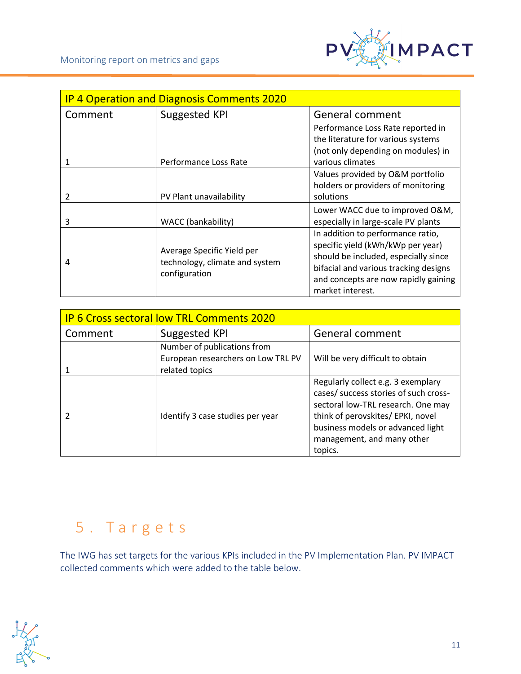

| <b>IP 4 Operation and Diagnosis Comments 2020</b> |                                                                               |                                                                                                                                                                                                                     |  |  |
|---------------------------------------------------|-------------------------------------------------------------------------------|---------------------------------------------------------------------------------------------------------------------------------------------------------------------------------------------------------------------|--|--|
| Comment                                           | Suggested KPI                                                                 | General comment                                                                                                                                                                                                     |  |  |
| 1                                                 | Performance Loss Rate                                                         | Performance Loss Rate reported in<br>the literature for various systems<br>(not only depending on modules) in<br>various climates                                                                                   |  |  |
| $\mathfrak{p}$                                    | PV Plant unavailability                                                       | Values provided by O&M portfolio<br>holders or providers of monitoring<br>solutions                                                                                                                                 |  |  |
| 3                                                 | WACC (bankability)                                                            | Lower WACC due to improved O&M,<br>especially in large-scale PV plants                                                                                                                                              |  |  |
| 4                                                 | Average Specific Yield per<br>technology, climate and system<br>configuration | In addition to performance ratio,<br>specific yield (kWh/kWp per year)<br>should be included, especially since<br>bifacial and various tracking designs<br>and concepts are now rapidly gaining<br>market interest. |  |  |

| <b>IP 6 Cross sectoral low TRL Comments 2020</b> |                                                      |                                                                                                                                                                                                                                      |  |
|--------------------------------------------------|------------------------------------------------------|--------------------------------------------------------------------------------------------------------------------------------------------------------------------------------------------------------------------------------------|--|
| Comment                                          | Suggested KPI                                        | General comment                                                                                                                                                                                                                      |  |
|                                                  | Number of publications from                          |                                                                                                                                                                                                                                      |  |
|                                                  | European researchers on Low TRL PV<br>related topics | Will be very difficult to obtain                                                                                                                                                                                                     |  |
|                                                  | Identify 3 case studies per year                     | Regularly collect e.g. 3 exemplary<br>cases/ success stories of such cross-<br>sectoral low-TRL research. One may<br>think of perovskites/ EPKI, novel<br>business models or advanced light<br>management, and many other<br>topics. |  |

# <span id="page-10-0"></span>5 . T a r g e t s

The IWG has set targets for the various KPIs included in the PV Implementation Plan. PV IMPACT collected comments which were added to the table below.

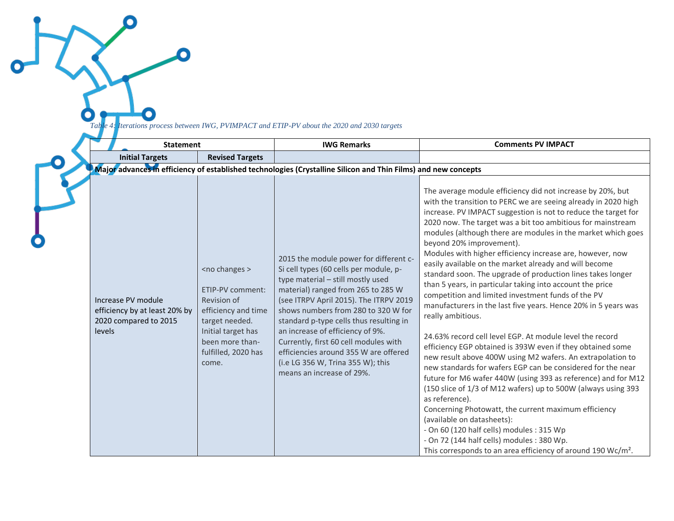*Table 4: Iterations process between IWG, PVIMPACT and ETIP-PV about the 2020 and 2030 targets*

O

 $\bullet$ 

۱

| <b>Statement</b>                                                                       |                                                                                                                                                                                   | <b>IWG Remarks</b>                                                                                                                                                                                                                                                                                                                                                                                                                                                              | <b>Comments PV IMPACT</b>                                                                                                                                                                                                                                                                                                                                                                                                                                                                                                                                                                                                                                                                                                                                                                                                                                                                                                                                                                                                                                                                                                                                                                                                                                                                                                                                                                                                         |
|----------------------------------------------------------------------------------------|-----------------------------------------------------------------------------------------------------------------------------------------------------------------------------------|---------------------------------------------------------------------------------------------------------------------------------------------------------------------------------------------------------------------------------------------------------------------------------------------------------------------------------------------------------------------------------------------------------------------------------------------------------------------------------|-----------------------------------------------------------------------------------------------------------------------------------------------------------------------------------------------------------------------------------------------------------------------------------------------------------------------------------------------------------------------------------------------------------------------------------------------------------------------------------------------------------------------------------------------------------------------------------------------------------------------------------------------------------------------------------------------------------------------------------------------------------------------------------------------------------------------------------------------------------------------------------------------------------------------------------------------------------------------------------------------------------------------------------------------------------------------------------------------------------------------------------------------------------------------------------------------------------------------------------------------------------------------------------------------------------------------------------------------------------------------------------------------------------------------------------|
| <b>Initial Targets</b>                                                                 | <b>Revised Targets</b>                                                                                                                                                            |                                                                                                                                                                                                                                                                                                                                                                                                                                                                                 |                                                                                                                                                                                                                                                                                                                                                                                                                                                                                                                                                                                                                                                                                                                                                                                                                                                                                                                                                                                                                                                                                                                                                                                                                                                                                                                                                                                                                                   |
|                                                                                        |                                                                                                                                                                                   | Major advances in efficiency of established technologies (Crystalline Silicon and Thin Films) and new concepts                                                                                                                                                                                                                                                                                                                                                                  |                                                                                                                                                                                                                                                                                                                                                                                                                                                                                                                                                                                                                                                                                                                                                                                                                                                                                                                                                                                                                                                                                                                                                                                                                                                                                                                                                                                                                                   |
| Increase PV module<br>efficiency by at least 20% by<br>2020 compared to 2015<br>levels | <no changes=""><br/>ETIP-PV comment:<br/>Revision of<br/>efficiency and time<br/>target needed.<br/>Initial target has<br/>been more than-<br/>fulfilled, 2020 has<br/>come.</no> | 2015 the module power for different c-<br>Si cell types (60 cells per module, p-<br>type material - still mostly used<br>material) ranged from 265 to 285 W<br>(see ITRPV April 2015). The ITRPV 2019<br>shows numbers from 280 to 320 W for<br>standard p-type cells thus resulting in<br>an increase of efficiency of 9%.<br>Currently, first 60 cell modules with<br>efficiencies around 355 W are offered<br>(i.e LG 356 W, Trina 355 W); this<br>means an increase of 29%. | The average module efficiency did not increase by 20%, but<br>with the transition to PERC we are seeing already in 2020 high<br>increase. PV IMPACT suggestion is not to reduce the target for<br>2020 now. The target was a bit too ambitious for mainstream<br>modules (although there are modules in the market which goes<br>beyond 20% improvement).<br>Modules with higher efficiency increase are, however, now<br>easily available on the market already and will become<br>standard soon. The upgrade of production lines takes longer<br>than 5 years, in particular taking into account the price<br>competition and limited investment funds of the PV<br>manufacturers in the last five years. Hence 20% in 5 years was<br>really ambitious.<br>24.63% record cell level EGP. At module level the record<br>efficiency EGP obtained is 393W even if they obtained some<br>new result above 400W using M2 wafers. An extrapolation to<br>new standards for wafers EGP can be considered for the near<br>future for M6 wafer 440W (using 393 as reference) and for M12<br>(150 slice of 1/3 of M12 wafers) up to 500W (always using 393<br>as reference).<br>Concerning Photowatt, the current maximum efficiency<br>(available on datasheets):<br>- On 60 (120 half cells) modules : 315 Wp<br>- On 72 (144 half cells) modules : 380 Wp.<br>This corresponds to an area efficiency of around 190 Wc/m <sup>2</sup> . |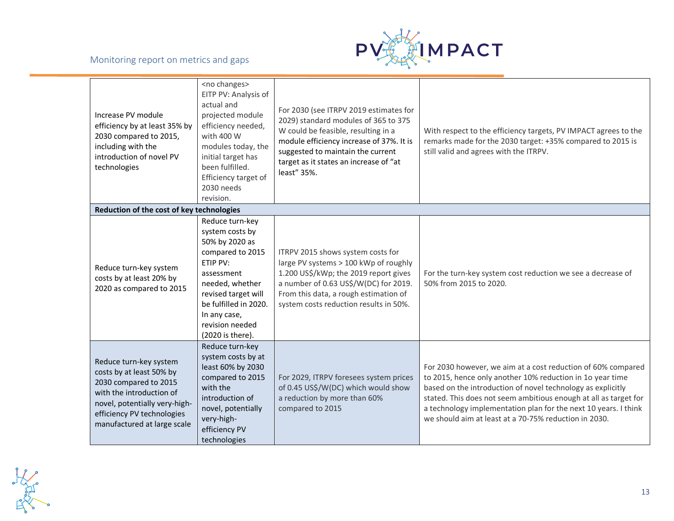

| Increase PV module<br>efficiency by at least 35% by<br>2030 compared to 2015,<br>including with the<br>introduction of novel PV<br>technologies                                                       | <no changes=""><br/>EITP PV: Analysis of<br/>actual and<br/>projected module<br/>efficiency needed,<br/>with 400 W<br/>modules today, the<br/>initial target has<br/>been fulfilled.<br/>Efficiency target of<br/>2030 needs<br/>revision.</no> | For 2030 (see ITRPV 2019 estimates for<br>2029) standard modules of 365 to 375<br>W could be feasible, resulting in a<br>module efficiency increase of 37%. It is<br>suggested to maintain the current<br>target as it states an increase of "at<br>least" 35%. | With respect to the efficiency targets, PV IMPACT agrees to the<br>remarks made for the 2030 target: +35% compared to 2015 is<br>still valid and agrees with the ITRPV.                                                                                                                                                                                                                  |
|-------------------------------------------------------------------------------------------------------------------------------------------------------------------------------------------------------|-------------------------------------------------------------------------------------------------------------------------------------------------------------------------------------------------------------------------------------------------|-----------------------------------------------------------------------------------------------------------------------------------------------------------------------------------------------------------------------------------------------------------------|------------------------------------------------------------------------------------------------------------------------------------------------------------------------------------------------------------------------------------------------------------------------------------------------------------------------------------------------------------------------------------------|
| Reduction of the cost of key technologies                                                                                                                                                             |                                                                                                                                                                                                                                                 |                                                                                                                                                                                                                                                                 |                                                                                                                                                                                                                                                                                                                                                                                          |
| Reduce turn-key system<br>costs by at least 20% by<br>2020 as compared to 2015                                                                                                                        | Reduce turn-key<br>system costs by<br>50% by 2020 as<br>compared to 2015<br>ETIP PV:<br>assessment<br>needed, whether<br>revised target will<br>be fulfilled in 2020.<br>In any case,<br>revision needed<br>(2020 is there).                    | ITRPV 2015 shows system costs for<br>large PV systems > 100 kWp of roughly<br>1.200 US\$/kWp; the 2019 report gives<br>a number of 0.63 US\$/W(DC) for 2019.<br>From this data, a rough estimation of<br>system costs reduction results in 50%.                 | For the turn-key system cost reduction we see a decrease of<br>50% from 2015 to 2020.                                                                                                                                                                                                                                                                                                    |
| Reduce turn-key system<br>costs by at least 50% by<br>2030 compared to 2015<br>with the introduction of<br>novel, potentially very-high-<br>efficiency PV technologies<br>manufactured at large scale | Reduce turn-key<br>system costs by at<br>least 60% by 2030<br>compared to 2015<br>with the<br>introduction of<br>novel, potentially<br>very-high-<br>efficiency PV<br>technologies                                                              | For 2029, ITRPV foresees system prices<br>of 0.45 US\$/W(DC) which would show<br>a reduction by more than 60%<br>compared to 2015                                                                                                                               | For 2030 however, we aim at a cost reduction of 60% compared<br>to 2015, hence only another 10% reduction in 1o year time<br>based on the introduction of novel technology as explicitly<br>stated. This does not seem ambitious enough at all as target for<br>a technology implementation plan for the next 10 years. I think<br>we should aim at least at a 70-75% reduction in 2030. |

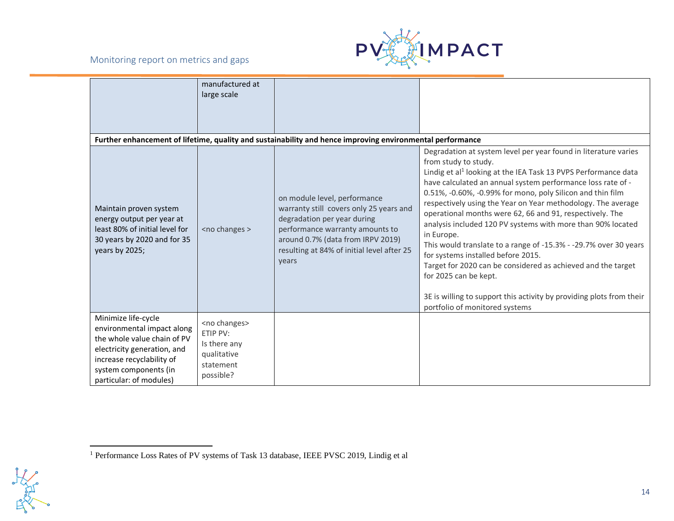#### Monitoring report on metrics and gaps



|                                                                                                                                                                                                  | manufactured at<br>large scale                                                                 |                                                                                                                                                                                                                                       |                                                                                                                                                                                                                                                                                                                                                                                                                                                                                                                                                                                                                                                                                                                                                                                                                          |
|--------------------------------------------------------------------------------------------------------------------------------------------------------------------------------------------------|------------------------------------------------------------------------------------------------|---------------------------------------------------------------------------------------------------------------------------------------------------------------------------------------------------------------------------------------|--------------------------------------------------------------------------------------------------------------------------------------------------------------------------------------------------------------------------------------------------------------------------------------------------------------------------------------------------------------------------------------------------------------------------------------------------------------------------------------------------------------------------------------------------------------------------------------------------------------------------------------------------------------------------------------------------------------------------------------------------------------------------------------------------------------------------|
|                                                                                                                                                                                                  |                                                                                                |                                                                                                                                                                                                                                       |                                                                                                                                                                                                                                                                                                                                                                                                                                                                                                                                                                                                                                                                                                                                                                                                                          |
|                                                                                                                                                                                                  |                                                                                                | Further enhancement of lifetime, quality and sustainability and hence improving environmental performance                                                                                                                             |                                                                                                                                                                                                                                                                                                                                                                                                                                                                                                                                                                                                                                                                                                                                                                                                                          |
| Maintain proven system<br>energy output per year at<br>least 80% of initial level for<br>30 years by 2020 and for 35<br>years by 2025;                                                           | <no changes=""></no>                                                                           | on module level, performance<br>warranty still covers only 25 years and<br>degradation per year during<br>performance warranty amounts to<br>around 0.7% (data from IRPV 2019)<br>resulting at 84% of initial level after 25<br>years | Degradation at system level per year found in literature varies<br>from study to study.<br>Lindig et al <sup>1</sup> looking at the IEA Task 13 PVPS Performance data<br>have calculated an annual system performance loss rate of -<br>0.51%, -0.60%, -0.99% for mono, poly Silicon and thin film<br>respectively using the Year on Year methodology. The average<br>operational months were 62, 66 and 91, respectively. The<br>analysis included 120 PV systems with more than 90% located<br>in Europe.<br>This would translate to a range of -15.3% - -29.7% over 30 years<br>for systems installed before 2015.<br>Target for 2020 can be considered as achieved and the target<br>for 2025 can be kept.<br>3E is willing to support this activity by providing plots from their<br>portfolio of monitored systems |
| Minimize life-cycle<br>environmental impact along<br>the whole value chain of PV<br>electricity generation, and<br>increase recyclability of<br>system components (in<br>particular: of modules) | <no changes=""><br/>ETIP PV:<br/>Is there any<br/>qualitative<br/>statement<br/>possible?</no> |                                                                                                                                                                                                                                       |                                                                                                                                                                                                                                                                                                                                                                                                                                                                                                                                                                                                                                                                                                                                                                                                                          |



<sup>1</sup> Performance Loss Rates of PV systems of Task 13 database, IEEE PVSC 2019, Lindig et al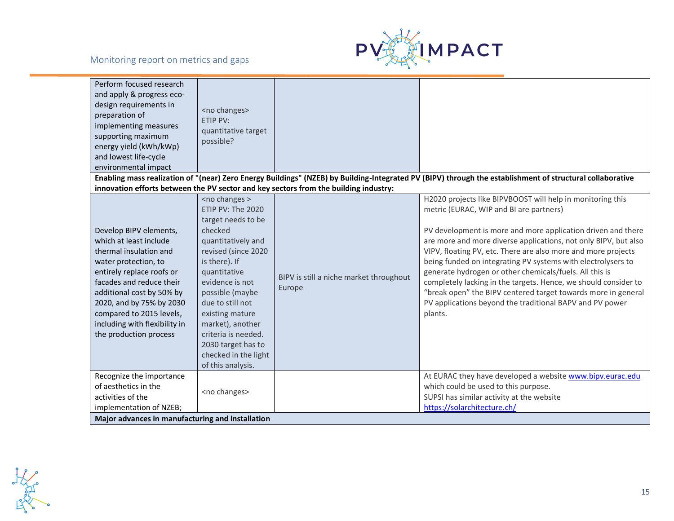



| Perform focused research<br>and apply & progress eco-<br>design requirements in<br>preparation of<br>implementing measures<br>supporting maximum<br>energy yield (kWh/kWp)<br>and lowest life-cycle<br>environmental impact | <no changes=""><br/>ETIP PV:<br/>quantitative target<br/>possible?</no>                                                                                                                                                      |                                                                                      |                                                                                                                                                                                                                                                                                                                                                                                                                                                                                                                                                                                                                                      |
|-----------------------------------------------------------------------------------------------------------------------------------------------------------------------------------------------------------------------------|------------------------------------------------------------------------------------------------------------------------------------------------------------------------------------------------------------------------------|--------------------------------------------------------------------------------------|--------------------------------------------------------------------------------------------------------------------------------------------------------------------------------------------------------------------------------------------------------------------------------------------------------------------------------------------------------------------------------------------------------------------------------------------------------------------------------------------------------------------------------------------------------------------------------------------------------------------------------------|
|                                                                                                                                                                                                                             |                                                                                                                                                                                                                              | innovation efforts between the PV sector and key sectors from the building industry: | Enabling mass realization of "(near) Zero Energy Buildings" (NZEB) by Building-Integrated PV (BIPV) through the establishment of structural collaborative                                                                                                                                                                                                                                                                                                                                                                                                                                                                            |
| Develop BIPV elements,<br>which at least include<br>thermal insulation and<br>water protection, to<br>entirely replace roofs or<br>facades and reduce their<br>additional cost by 50% by<br>2020, and by 75% by 2030        | <no changes=""><br/>ETIP PV: The 2020<br/>target needs to be<br/>checked<br/>quantitatively and<br/>revised (since 2020<br/>is there). If<br/>quantitative<br/>evidence is not<br/>possible (maybe<br/>due to still not</no> | BIPV is still a niche market throughout<br>Europe                                    | H2020 projects like BIPVBOOST will help in monitoring this<br>metric (EURAC, WIP and BI are partners)<br>PV development is more and more application driven and there<br>are more and more diverse applications, not only BIPV, but also<br>VIPV, floating PV, etc. There are also more and more projects<br>being funded on integrating PV systems with electrolysers to<br>generate hydrogen or other chemicals/fuels. All this is<br>completely lacking in the targets. Hence, we should consider to<br>"break open" the BIPV centered target towards more in general<br>PV applications beyond the traditional BAPV and PV power |
| compared to 2015 levels,<br>including with flexibility in<br>the production process                                                                                                                                         | existing mature<br>market), another<br>criteria is needed.<br>2030 target has to<br>checked in the light<br>of this analysis.                                                                                                |                                                                                      | plants.                                                                                                                                                                                                                                                                                                                                                                                                                                                                                                                                                                                                                              |
| Recognize the importance<br>of aesthetics in the<br>activities of the                                                                                                                                                       | <no changes=""></no>                                                                                                                                                                                                         |                                                                                      | At EURAC they have developed a website www.bipv.eurac.edu<br>which could be used to this purpose.<br>SUPSI has similar activity at the website                                                                                                                                                                                                                                                                                                                                                                                                                                                                                       |
| implementation of NZEB;                                                                                                                                                                                                     |                                                                                                                                                                                                                              |                                                                                      | https://solarchitecture.ch/                                                                                                                                                                                                                                                                                                                                                                                                                                                                                                                                                                                                          |
| Major advances in manufacturing and installation                                                                                                                                                                            |                                                                                                                                                                                                                              |                                                                                      |                                                                                                                                                                                                                                                                                                                                                                                                                                                                                                                                                                                                                                      |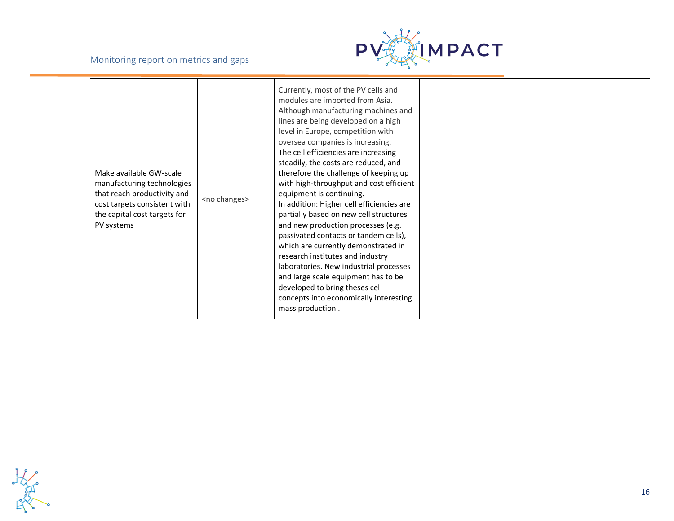

| Make available GW-scale<br>manufacturing technologies<br>that reach productivity and<br>cost targets consistent with<br>the capital cost targets for<br>PV systems | <no changes=""></no> | Currently, most of the PV cells and<br>modules are imported from Asia.<br>Although manufacturing machines and<br>lines are being developed on a high<br>level in Europe, competition with<br>oversea companies is increasing.<br>The cell efficiencies are increasing<br>steadily, the costs are reduced, and<br>therefore the challenge of keeping up<br>with high-throughput and cost efficient<br>equipment is continuing.<br>In addition: Higher cell efficiencies are<br>partially based on new cell structures<br>and new production processes (e.g.<br>passivated contacts or tandem cells),<br>which are currently demonstrated in<br>research institutes and industry<br>laboratories. New industrial processes<br>and large scale equipment has to be<br>developed to bring theses cell<br>concepts into economically interesting<br>mass production. |  |
|--------------------------------------------------------------------------------------------------------------------------------------------------------------------|----------------------|-----------------------------------------------------------------------------------------------------------------------------------------------------------------------------------------------------------------------------------------------------------------------------------------------------------------------------------------------------------------------------------------------------------------------------------------------------------------------------------------------------------------------------------------------------------------------------------------------------------------------------------------------------------------------------------------------------------------------------------------------------------------------------------------------------------------------------------------------------------------|--|
|--------------------------------------------------------------------------------------------------------------------------------------------------------------------|----------------------|-----------------------------------------------------------------------------------------------------------------------------------------------------------------------------------------------------------------------------------------------------------------------------------------------------------------------------------------------------------------------------------------------------------------------------------------------------------------------------------------------------------------------------------------------------------------------------------------------------------------------------------------------------------------------------------------------------------------------------------------------------------------------------------------------------------------------------------------------------------------|--|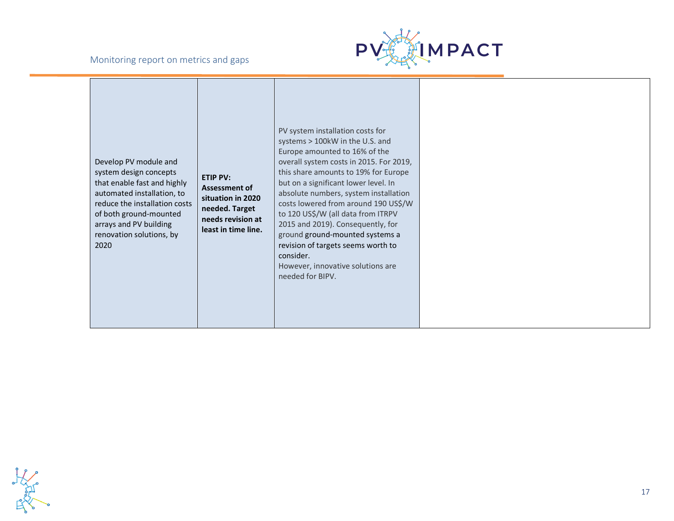

| Develop PV module and<br>system design concepts<br>that enable fast and highly<br>automated installation, to<br>reduce the installation costs<br>of both ground-mounted<br>arrays and PV building<br>renovation solutions, by<br>2020 | <b>ETIP PV:</b><br>Assessment of<br>situation in 2020<br>needed. Target<br>needs revision at<br>least in time line. | PV system installation costs for<br>systems > 100kW in the U.S. and<br>Europe amounted to 16% of the<br>overall system costs in 2015. For 2019,<br>this share amounts to 19% for Europe<br>but on a significant lower level. In<br>absolute numbers, system installation<br>costs lowered from around 190 US\$/W<br>to 120 US\$/W (all data from ITRPV<br>2015 and 2019). Consequently, for<br>ground ground-mounted systems a<br>revision of targets seems worth to<br>consider.<br>However, innovative solutions are<br>needed for BIPV. |  |
|---------------------------------------------------------------------------------------------------------------------------------------------------------------------------------------------------------------------------------------|---------------------------------------------------------------------------------------------------------------------|--------------------------------------------------------------------------------------------------------------------------------------------------------------------------------------------------------------------------------------------------------------------------------------------------------------------------------------------------------------------------------------------------------------------------------------------------------------------------------------------------------------------------------------------|--|
|---------------------------------------------------------------------------------------------------------------------------------------------------------------------------------------------------------------------------------------|---------------------------------------------------------------------------------------------------------------------|--------------------------------------------------------------------------------------------------------------------------------------------------------------------------------------------------------------------------------------------------------------------------------------------------------------------------------------------------------------------------------------------------------------------------------------------------------------------------------------------------------------------------------------------|--|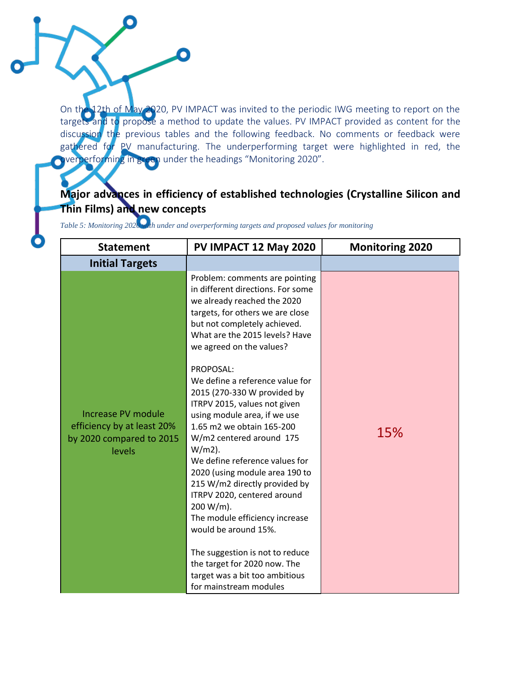On the 12th of May 2020, PV IMPACT was invited to the periodic IWG meeting to report on the targets and to propose a method to update the values. PV IMPACT provided as content for the discussion the previous tables and the following feedback. No comments or feedback were gathered for PV manufacturing. The underperforming target were highlighted in red, the **Overperforming in green** under the headings "Monitoring 2020".

# **Major advances in efficiency of established technologies (Crystalline Silicon and Thin Films) and new concepts**

*Table 5: Monitoring 2020 with under and overperforming targets and proposed values for monitoring*

į

| <b>Statement</b>                                                                              | PV IMPACT 12 May 2020                                                                                                                                                                                                                                                                                                                                                                                                                                                                                                                                                                                                                                                | <b>Monitoring 2020</b> |
|-----------------------------------------------------------------------------------------------|----------------------------------------------------------------------------------------------------------------------------------------------------------------------------------------------------------------------------------------------------------------------------------------------------------------------------------------------------------------------------------------------------------------------------------------------------------------------------------------------------------------------------------------------------------------------------------------------------------------------------------------------------------------------|------------------------|
| <b>Initial Targets</b>                                                                        |                                                                                                                                                                                                                                                                                                                                                                                                                                                                                                                                                                                                                                                                      |                        |
| <b>Increase PV module</b><br>efficiency by at least 20%<br>by 2020 compared to 2015<br>levels | Problem: comments are pointing<br>in different directions. For some<br>we already reached the 2020<br>targets, for others we are close<br>but not completely achieved.<br>What are the 2015 levels? Have<br>we agreed on the values?<br>PROPOSAL:<br>We define a reference value for<br>2015 (270-330 W provided by<br>ITRPV 2015, values not given<br>using module area, if we use<br>1.65 m2 we obtain 165-200<br>W/m2 centered around 175<br>$W/m2$ ).<br>We define reference values for<br>2020 (using module area 190 to<br>215 W/m2 directly provided by<br>ITRPV 2020, centered around<br>200 W/m).<br>The module efficiency increase<br>would be around 15%. | 15%                    |
|                                                                                               | The suggestion is not to reduce<br>the target for 2020 now. The<br>target was a bit too ambitious<br>for mainstream modules                                                                                                                                                                                                                                                                                                                                                                                                                                                                                                                                          |                        |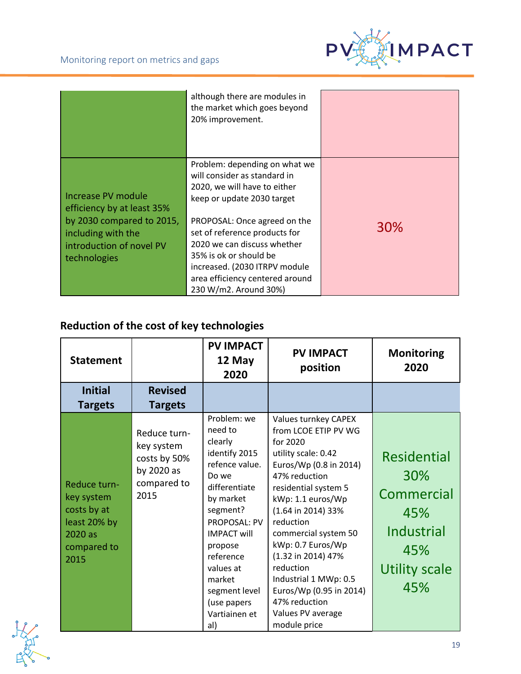

|                                                                                                                                                 | although there are modules in<br>the market which goes beyond<br>20% improvement.                                                                                                                                                                                                                                                                  |     |
|-------------------------------------------------------------------------------------------------------------------------------------------------|----------------------------------------------------------------------------------------------------------------------------------------------------------------------------------------------------------------------------------------------------------------------------------------------------------------------------------------------------|-----|
| Increase PV module<br>efficiency by at least 35%<br>by 2030 compared to 2015,<br>including with the<br>introduction of novel PV<br>technologies | Problem: depending on what we<br>will consider as standard in<br>2020, we will have to either<br>keep or update 2030 target<br>PROPOSAL: Once agreed on the<br>set of reference products for<br>2020 we can discuss whether<br>35% is ok or should be<br>increased. (2030 ITRPV module<br>area efficiency centered around<br>230 W/m2. Around 30%) | 30% |

# **Reduction of the cost of key technologies**

| <b>Statement</b>                                                                            |                                                                                 | <b>PV IMPACT</b><br>12 May<br>2020                                                                                                                                                                                                                                          | <b>PV IMPACT</b><br>position                                                                                                                                                                                                                                                                                                                                                                         | <b>Monitoring</b><br>2020                                                                                 |
|---------------------------------------------------------------------------------------------|---------------------------------------------------------------------------------|-----------------------------------------------------------------------------------------------------------------------------------------------------------------------------------------------------------------------------------------------------------------------------|------------------------------------------------------------------------------------------------------------------------------------------------------------------------------------------------------------------------------------------------------------------------------------------------------------------------------------------------------------------------------------------------------|-----------------------------------------------------------------------------------------------------------|
| <b>Initial</b>                                                                              | <b>Revised</b>                                                                  |                                                                                                                                                                                                                                                                             |                                                                                                                                                                                                                                                                                                                                                                                                      |                                                                                                           |
| <b>Targets</b>                                                                              | <b>Targets</b>                                                                  |                                                                                                                                                                                                                                                                             |                                                                                                                                                                                                                                                                                                                                                                                                      |                                                                                                           |
| Reduce turn-<br>key system<br>costs by at<br>least 20% by<br>2020 as<br>compared to<br>2015 | Reduce turn-<br>key system<br>costs by 50%<br>by 2020 as<br>compared to<br>2015 | Problem: we<br>need to<br>clearly<br>identify 2015<br>refence value.<br>Do we<br>differentiate<br>by market<br>segment?<br><b>PROPOSAL: PV</b><br><b>IMPACT will</b><br>propose<br>reference<br>values at<br>market<br>segment level<br>(use papers<br>Vartiainen et<br>al) | Values turnkey CAPEX<br>from LCOE ETIP PV WG<br>for 2020<br>utility scale: 0.42<br>Euros/Wp (0.8 in 2014)<br>47% reduction<br>residential system 5<br>kWp: 1.1 euros/Wp<br>(1.64 in 2014) 33%<br>reduction<br>commercial system 50<br>kWp: 0.7 Euros/Wp<br>(1.32 in 2014) 47%<br>reduction<br>Industrial 1 MWp: 0.5<br>Euros/Wp (0.95 in 2014)<br>47% reduction<br>Values PV average<br>module price | <b>Residential</b><br>30%<br>Commercial<br>45%<br><b>Industrial</b><br>45%<br><b>Utility scale</b><br>45% |

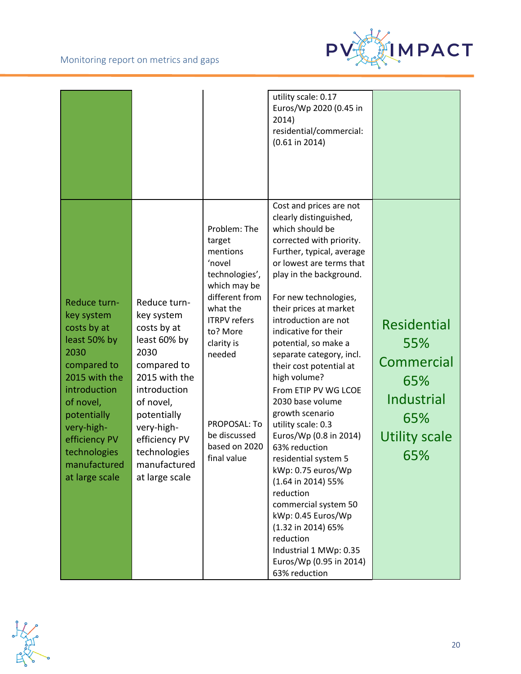

| Reduce turn-<br>key system<br>costs by at<br>least 50% by<br>2030<br>compared to<br>2015 with the<br>introduction<br>of novel,<br>potentially<br>very-high-<br>efficiency PV<br>technologies<br>manufactured<br>at large scale | Reduce turn-<br>key system<br>costs by at<br>least 60% by<br>2030<br>compared to<br>2015 with the<br>introduction<br>of novel,<br>potentially<br>very-high-<br>efficiency PV<br>technologies<br>manufactured<br>at large scale | Problem: The<br>target<br>mentions<br>'novel<br>technologies',<br>which may be<br>different from<br>what the<br><b>ITRPV</b> refers<br>to? More<br>clarity is<br>needed<br>PROPOSAL: To<br>be discussed<br>based on 2020<br>final value | utility scale: 0.17<br>Euros/Wp 2020 (0.45 in<br>2014)<br>residential/commercial:<br>$(0.61$ in 2014)<br>Cost and prices are not<br>clearly distinguished,<br>which should be<br>corrected with priority.<br>Further, typical, average<br>or lowest are terms that<br>play in the background.<br>For new technologies,<br>their prices at market<br>introduction are not<br>indicative for their<br>potential, so make a<br>separate category, incl.<br>their cost potential at<br>high volume?<br>From ETIP PV WG LCOE<br>2030 base volume<br>growth scenario<br>utility scale: 0.3<br>Euros/Wp (0.8 in 2014)<br>63% reduction<br>residential system 5<br>kWp: 0.75 euros/Wp<br>(1.64 in 2014) 55%<br>reduction<br>commercial system 50<br>kWp: 0.45 Euros/Wp<br>(1.32 in 2014) 65% | <b>Residential</b><br>55%<br>Commercial<br>65%<br><b>Industrial</b><br>65%<br><b>Utility scale</b><br>65% |
|--------------------------------------------------------------------------------------------------------------------------------------------------------------------------------------------------------------------------------|--------------------------------------------------------------------------------------------------------------------------------------------------------------------------------------------------------------------------------|-----------------------------------------------------------------------------------------------------------------------------------------------------------------------------------------------------------------------------------------|--------------------------------------------------------------------------------------------------------------------------------------------------------------------------------------------------------------------------------------------------------------------------------------------------------------------------------------------------------------------------------------------------------------------------------------------------------------------------------------------------------------------------------------------------------------------------------------------------------------------------------------------------------------------------------------------------------------------------------------------------------------------------------------|-----------------------------------------------------------------------------------------------------------|
|                                                                                                                                                                                                                                |                                                                                                                                                                                                                                |                                                                                                                                                                                                                                         | reduction<br>Industrial 1 MWp: 0.35<br>Euros/Wp (0.95 in 2014)<br>63% reduction                                                                                                                                                                                                                                                                                                                                                                                                                                                                                                                                                                                                                                                                                                      |                                                                                                           |

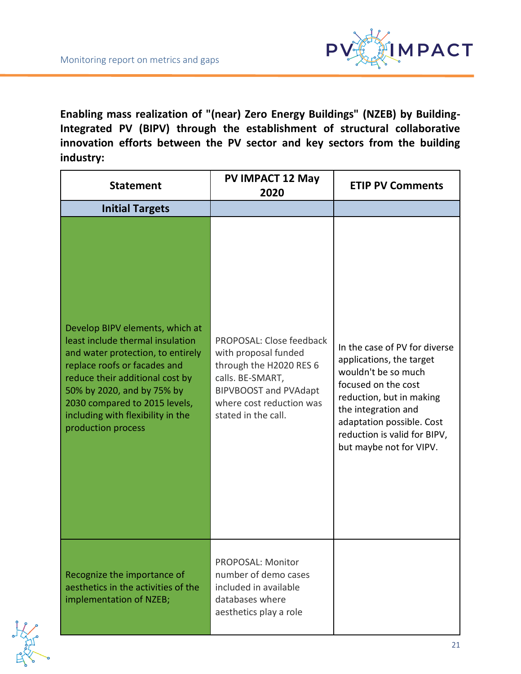

**Enabling mass realization of "(near) Zero Energy Buildings" (NZEB) by Building-Integrated PV (BIPV) through the establishment of structural collaborative innovation efforts between the PV sector and key sectors from the building industry:**

| <b>Statement</b>                                                                                                                                                                                                                                                                                      | <b>PV IMPACT 12 May</b><br>2020                                                                                                                                                    | <b>ETIP PV Comments</b>                                                                                                                                                                                                                            |
|-------------------------------------------------------------------------------------------------------------------------------------------------------------------------------------------------------------------------------------------------------------------------------------------------------|------------------------------------------------------------------------------------------------------------------------------------------------------------------------------------|----------------------------------------------------------------------------------------------------------------------------------------------------------------------------------------------------------------------------------------------------|
| <b>Initial Targets</b>                                                                                                                                                                                                                                                                                |                                                                                                                                                                                    |                                                                                                                                                                                                                                                    |
| Develop BIPV elements, which at<br>least include thermal insulation<br>and water protection, to entirely<br>replace roofs or facades and<br>reduce their additional cost by<br>50% by 2020, and by 75% by<br>2030 compared to 2015 levels,<br>including with flexibility in the<br>production process | PROPOSAL: Close feedback<br>with proposal funded<br>through the H2020 RES 6<br>calls. BE-SMART,<br><b>BIPVBOOST and PVAdapt</b><br>where cost reduction was<br>stated in the call. | In the case of PV for diverse<br>applications, the target<br>wouldn't be so much<br>focused on the cost<br>reduction, but in making<br>the integration and<br>adaptation possible. Cost<br>reduction is valid for BIPV,<br>but maybe not for VIPV. |
| Recognize the importance of<br>aesthetics in the activities of the<br>implementation of NZEB;                                                                                                                                                                                                         | <b>PROPOSAL: Monitor</b><br>number of demo cases<br>included in available<br>databases where<br>aesthetics play a role                                                             |                                                                                                                                                                                                                                                    |

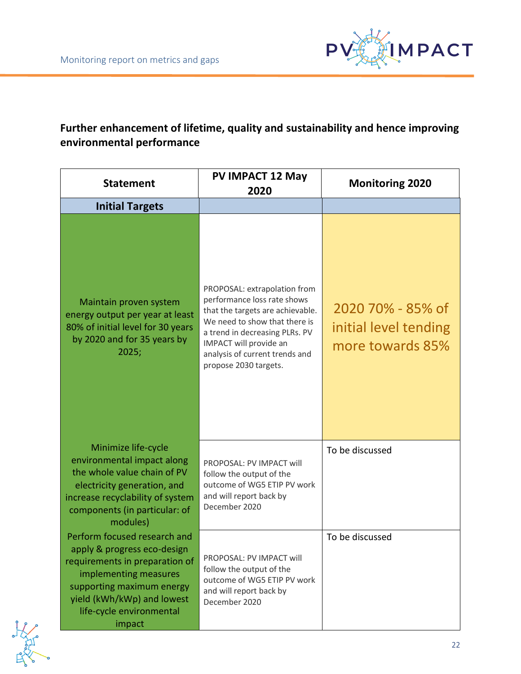

## **Further enhancement of lifetime, quality and sustainability and hence improving environmental performance**

| <b>Statement</b>                                                                                                                                                                                                        | <b>PV IMPACT 12 May</b><br>2020                                                                                                                                                                                                                         | <b>Monitoring 2020</b>                                         |
|-------------------------------------------------------------------------------------------------------------------------------------------------------------------------------------------------------------------------|---------------------------------------------------------------------------------------------------------------------------------------------------------------------------------------------------------------------------------------------------------|----------------------------------------------------------------|
| <b>Initial Targets</b>                                                                                                                                                                                                  |                                                                                                                                                                                                                                                         |                                                                |
| Maintain proven system<br>energy output per year at least<br>80% of initial level for 30 years<br>by 2020 and for 35 years by<br>2025;                                                                                  | PROPOSAL: extrapolation from<br>performance loss rate shows<br>that the targets are achievable.<br>We need to show that there is<br>a trend in decreasing PLRs. PV<br>IMPACT will provide an<br>analysis of current trends and<br>propose 2030 targets. | 2020 70% - 85% of<br>initial level tending<br>more towards 85% |
| Minimize life-cycle<br>environmental impact along<br>the whole value chain of PV<br>electricity generation, and<br>increase recyclability of system<br>components (in particular: of<br>modules)                        | PROPOSAL: PV IMPACT will<br>follow the output of the<br>outcome of WG5 ETIP PV work<br>and will report back by<br>December 2020                                                                                                                         | To be discussed                                                |
| Perform focused research and<br>apply & progress eco-design<br>requirements in preparation of<br>implementing measures<br>supporting maximum energy<br>yield (kWh/kWp) and lowest<br>life-cycle environmental<br>impact | PROPOSAL: PV IMPACT will<br>follow the output of the<br>outcome of WG5 ETIP PV work<br>and will report back by<br>December 2020                                                                                                                         | To be discussed                                                |

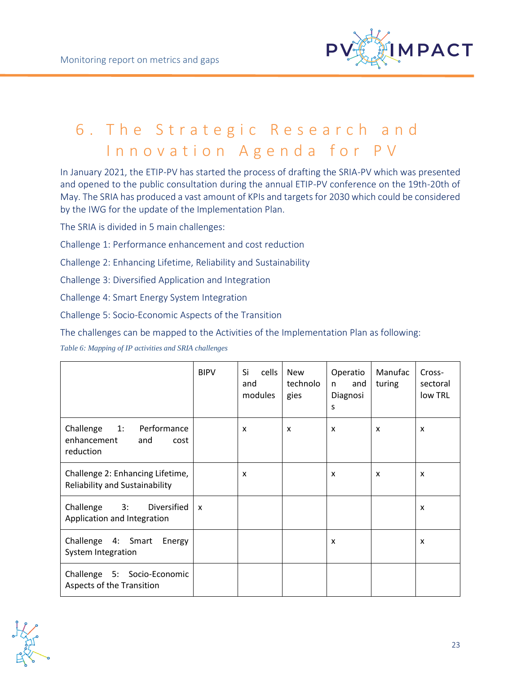

# <span id="page-22-0"></span>6. The Strategic Research and Innovation Agenda for PV

In January 2021, the ETIP-PV has started the process of drafting the SRIA-PV which was presented and opened to the public consultation during the annual ETIP-PV conference on the 19th-20th of May. The SRIA has produced a vast amount of KPIs and targets for 2030 which could be considered by the IWG for the update of the Implementation Plan.

The SRIA is divided in 5 main challenges:

Challenge 1: Performance enhancement and cost reduction

Challenge 2: Enhancing Lifetime, Reliability and Sustainability

Challenge 3: Diversified Application and Integration

Challenge 4: Smart Energy System Integration

Challenge 5: Socio-Economic Aspects of the Transition

The challenges can be mapped to the Activities of the Implementation Plan as following:

*Table 6: Mapping of IP activities and SRIA challenges*

|                                                                           | <b>BIPV</b>  | cells<br>Si<br>and<br>modules | <b>New</b><br>technolo<br>gies | Operatio<br>and<br>n.<br>Diagnosi<br>S | Manufac<br>turing | Cross-<br>sectoral<br>low TRL |
|---------------------------------------------------------------------------|--------------|-------------------------------|--------------------------------|----------------------------------------|-------------------|-------------------------------|
| Challenge<br>Performance<br>1:<br>enhancement<br>and<br>cost<br>reduction |              | X                             | $\boldsymbol{\mathsf{x}}$      | $\boldsymbol{\mathsf{x}}$              | X                 | x                             |
| Challenge 2: Enhancing Lifetime,<br><b>Reliability and Sustainability</b> |              | X                             |                                | X                                      | X                 | X                             |
| Diversified<br>Challenge<br>3:<br>Application and Integration             | $\mathsf{x}$ |                               |                                |                                        |                   | X                             |
| Challenge 4: Smart<br>Energy<br>System Integration                        |              |                               |                                | X                                      |                   | X                             |
| Challenge 5: Socio-Economic<br>Aspects of the Transition                  |              |                               |                                |                                        |                   |                               |

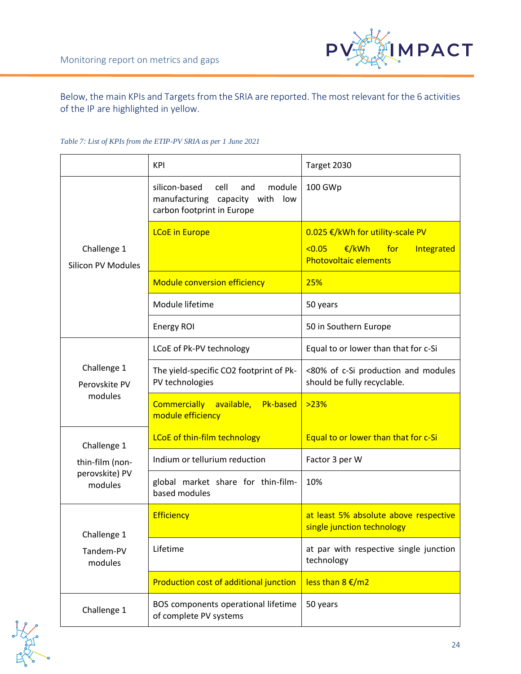

Below, the main KPIs and Targets from the SRIA are reported. The most relevant for the 6 activities of the IP are highlighted in yellow.

#### *Table 7: List of KPIs from the ETIP-PV SRIA as per 1 June 2021*

|                                          | <b>KPI</b>                                                                                                 | Target 2030                                                                                                     |
|------------------------------------------|------------------------------------------------------------------------------------------------------------|-----------------------------------------------------------------------------------------------------------------|
|                                          | silicon-based<br>cell<br>module<br>and<br>manufacturing capacity with<br>low<br>carbon footprint in Europe | 100 GWp                                                                                                         |
| Challenge 1<br><b>Silicon PV Modules</b> | <b>LCoE</b> in Europe                                                                                      | 0.025 €/kWh for utility-scale PV<br>< 0.05<br>€/kWh<br><u>for</u><br>Integrated<br><b>Photovoltaic elements</b> |
|                                          | <b>Module conversion efficiency</b>                                                                        | 25%                                                                                                             |
|                                          | Module lifetime                                                                                            | 50 years                                                                                                        |
|                                          | Energy ROI                                                                                                 | 50 in Southern Europe                                                                                           |
|                                          | LCoE of Pk-PV technology                                                                                   | Equal to or lower than that for c-Si                                                                            |
| Challenge 1<br>Perovskite PV             | The yield-specific CO2 footprint of Pk-<br>PV technologies                                                 | <80% of c-Si production and modules<br>should be fully recyclable.                                              |
| modules                                  | <b>Commercially</b><br><b>Pk-based</b><br>available,<br>module efficiency                                  | >23%                                                                                                            |
| Challenge 1                              | LCoE of thin-film technology                                                                               | Equal to or lower than that for c-Si                                                                            |
| thin-film (non-                          | Indium or tellurium reduction                                                                              | Factor 3 per W                                                                                                  |
| perovskite) PV<br>modules                | global market share for thin-film-<br>based modules                                                        | 10%                                                                                                             |
| Challenge 1                              | <b>Efficiency</b>                                                                                          | at least 5% absolute above respective<br>single junction technology                                             |
| Tandem-PV<br>modules                     | Lifetime                                                                                                   | at par with respective single junction<br>technology                                                            |
|                                          | Production cost of additional junction                                                                     | less than 8 €/m2                                                                                                |
| Challenge 1                              | BOS components operational lifetime<br>of complete PV systems                                              | 50 years                                                                                                        |

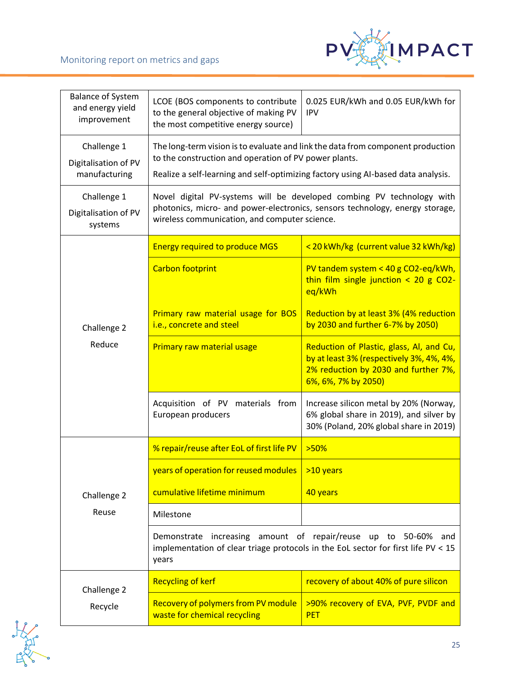

| <b>Balance of System</b><br>and energy yield<br>improvement | LCOE (BOS components to contribute<br>to the general objective of making PV<br>the most competitive energy source)                                                                                                            | 0.025 EUR/kWh and 0.05 EUR/kWh for<br><b>IPV</b>                                                                                                    |  |
|-------------------------------------------------------------|-------------------------------------------------------------------------------------------------------------------------------------------------------------------------------------------------------------------------------|-----------------------------------------------------------------------------------------------------------------------------------------------------|--|
| Challenge 1<br>Digitalisation of PV<br>manufacturing        | The long-term vision is to evaluate and link the data from component production<br>to the construction and operation of PV power plants.<br>Realize a self-learning and self-optimizing factory using AI-based data analysis. |                                                                                                                                                     |  |
| Challenge 1<br>Digitalisation of PV<br>systems              | Novel digital PV-systems will be developed combing PV technology with<br>photonics, micro- and power-electronics, sensors technology, energy storage,<br>wireless communication, and computer science.                        |                                                                                                                                                     |  |
|                                                             | <b>Energy required to produce MGS</b>                                                                                                                                                                                         | <20 kWh/kg (current value 32 kWh/kg)                                                                                                                |  |
|                                                             | Carbon footprint                                                                                                                                                                                                              | PV tandem system < 40 g CO2-eq/kWh,<br>thin film single junction $<$ 20 g CO2-<br>eq/kWh                                                            |  |
| Challenge 2                                                 | Primary raw material usage for BOS<br>i.e., concrete and steel                                                                                                                                                                | Reduction by at least 3% (4% reduction<br>by 2030 and further 6-7% by 2050)                                                                         |  |
| Reduce                                                      | Primary raw material usage                                                                                                                                                                                                    | Reduction of Plastic, glass, Al, and Cu,<br>by at least 3% (respectively 3%, 4%, 4%,<br>2% reduction by 2030 and further 7%,<br>6%, 6%, 7% by 2050) |  |
|                                                             | Acquisition of PV materials from<br>European producers                                                                                                                                                                        | Increase silicon metal by 20% (Norway,<br>6% global share in 2019), and silver by<br>30% (Poland, 20% global share in 2019)                         |  |
|                                                             | % repair/reuse after EoL of first life PV                                                                                                                                                                                     | >50%                                                                                                                                                |  |
|                                                             | years of operation for reused modules $\vert$ >10 years                                                                                                                                                                       |                                                                                                                                                     |  |
| Challenge 2                                                 | cumulative lifetime minimum                                                                                                                                                                                                   | 40 years                                                                                                                                            |  |
| Reuse                                                       | Milestone                                                                                                                                                                                                                     |                                                                                                                                                     |  |
|                                                             | years                                                                                                                                                                                                                         | Demonstrate increasing amount of repair/reuse up to 50-60% and<br>implementation of clear triage protocols in the EoL sector for first life PV < 15 |  |
| Challenge 2                                                 | <b>Recycling of kerf</b>                                                                                                                                                                                                      | recovery of about 40% of pure silicon                                                                                                               |  |
| Recycle                                                     | Recovery of polymers from PV module<br>waste for chemical recycling                                                                                                                                                           | >90% recovery of EVA, PVF, PVDF and<br><b>PET</b>                                                                                                   |  |

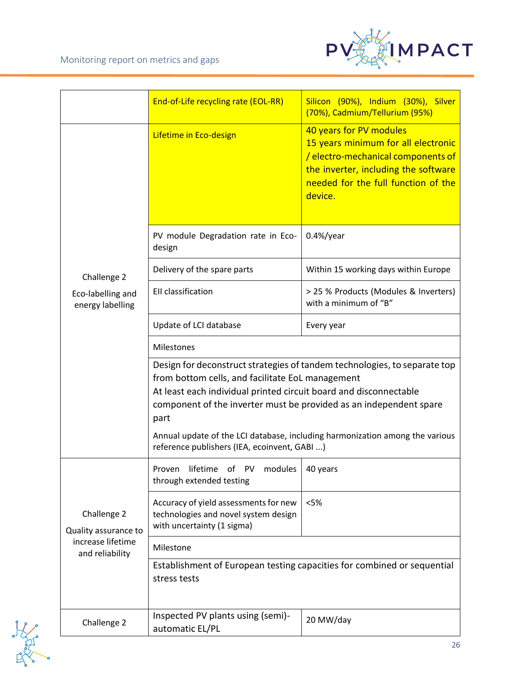

|                                       | End-of-Life recycling rate (EOL-RR)                                                                                                                                                                                                                                              | Silicon (90%), Indium (30%), Silver<br>(70%), Cadmium/Tellurium (95%)                                                                                                                          |  |
|---------------------------------------|----------------------------------------------------------------------------------------------------------------------------------------------------------------------------------------------------------------------------------------------------------------------------------|------------------------------------------------------------------------------------------------------------------------------------------------------------------------------------------------|--|
|                                       | Lifetime in Eco-design                                                                                                                                                                                                                                                           | 40 years for PV modules<br>15 years minimum for all electronic<br>/ electro-mechanical components of<br>the inverter, including the software<br>needed for the full function of the<br>device. |  |
|                                       | PV module Degradation rate in Eco-<br>design                                                                                                                                                                                                                                     | $0.4\%$ /year                                                                                                                                                                                  |  |
| Challenge 2                           | Delivery of the spare parts                                                                                                                                                                                                                                                      | Within 15 working days within Europe                                                                                                                                                           |  |
| Eco-labelling and<br>energy labelling | EII classification                                                                                                                                                                                                                                                               | > 25 % Products (Modules & Inverters)<br>with a minimum of "B"                                                                                                                                 |  |
|                                       | Update of LCI database                                                                                                                                                                                                                                                           | Every year                                                                                                                                                                                     |  |
|                                       | Milestones                                                                                                                                                                                                                                                                       |                                                                                                                                                                                                |  |
|                                       | Design for deconstruct strategies of tandem technologies, to separate top<br>from bottom cells, and facilitate EoL management<br>At least each individual printed circuit board and disconnectable<br>component of the inverter must be provided as an independent spare<br>part |                                                                                                                                                                                                |  |
|                                       | reference publishers (IEA, ecoinvent, GABI )                                                                                                                                                                                                                                     | Annual update of the LCI database, including harmonization among the various                                                                                                                   |  |
|                                       | Proven lifetime of PV modules   40 years<br>through extended testing                                                                                                                                                                                                             |                                                                                                                                                                                                |  |
| Challenge 2<br>Quality assurance to   | Accuracy of yield assessments for new<br>technologies and novel system design<br>with uncertainty (1 sigma)                                                                                                                                                                      | < 5%                                                                                                                                                                                           |  |
| increase lifetime<br>and reliability  | Milestone                                                                                                                                                                                                                                                                        |                                                                                                                                                                                                |  |
|                                       | stress tests                                                                                                                                                                                                                                                                     | Establishment of European testing capacities for combined or sequential                                                                                                                        |  |
| Challenge 2                           | Inspected PV plants using (semi)-<br>automatic EL/PL                                                                                                                                                                                                                             | 20 MW/day                                                                                                                                                                                      |  |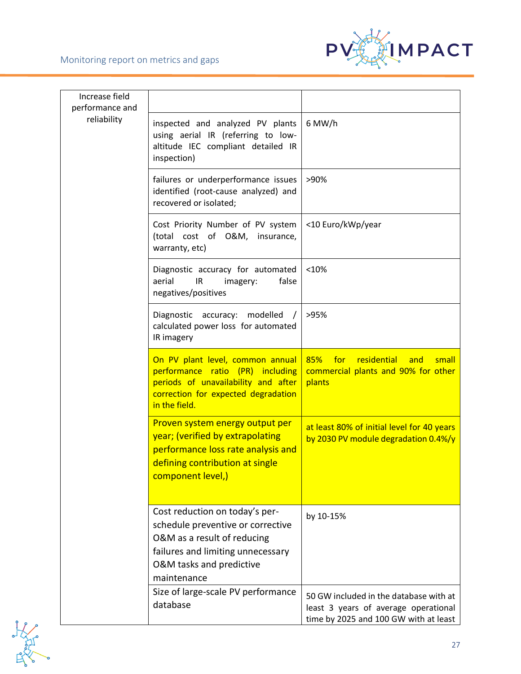

| Increase field<br>performance and |                                                                                                                                                                                    |                                                                                                                         |
|-----------------------------------|------------------------------------------------------------------------------------------------------------------------------------------------------------------------------------|-------------------------------------------------------------------------------------------------------------------------|
| reliability                       | inspected and analyzed PV plants<br>using aerial IR (referring to low-<br>altitude IEC compliant detailed IR<br>inspection)                                                        | 6 MW/h                                                                                                                  |
|                                   | failures or underperformance issues<br>identified (root-cause analyzed) and<br>recovered or isolated;                                                                              | >90%                                                                                                                    |
|                                   | Cost Priority Number of PV system<br>(total cost of O&M, insurance,<br>warranty, etc)                                                                                              | <10 Euro/kWp/year                                                                                                       |
|                                   | Diagnostic accuracy for automated<br>aerial<br>IR<br>false<br>imagery:<br>negatives/positives                                                                                      | <10%                                                                                                                    |
|                                   | Diagnostic accuracy:<br>modelled<br>calculated power loss for automated<br>IR imagery                                                                                              | >95%                                                                                                                    |
|                                   | On PV plant level, common annual<br>performance ratio (PR) including<br>periods of unavailability and after<br>correction for expected degradation<br>in the field.                | 85%<br>for<br>residential<br>and<br>small<br>commercial plants and 90% for other<br>plants                              |
|                                   | Proven system energy output per<br>year; (verified by extrapolating<br>performance loss rate analysis and<br>defining contribution at single<br>component level,)                  | at least 80% of initial level for 40 years<br>by 2030 PV module degradation 0.4%/y                                      |
|                                   | Cost reduction on today's per-<br>schedule preventive or corrective<br>O&M as a result of reducing<br>failures and limiting unnecessary<br>O&M tasks and predictive<br>maintenance | by 10-15%                                                                                                               |
|                                   | Size of large-scale PV performance<br>database                                                                                                                                     | 50 GW included in the database with at<br>least 3 years of average operational<br>time by 2025 and 100 GW with at least |

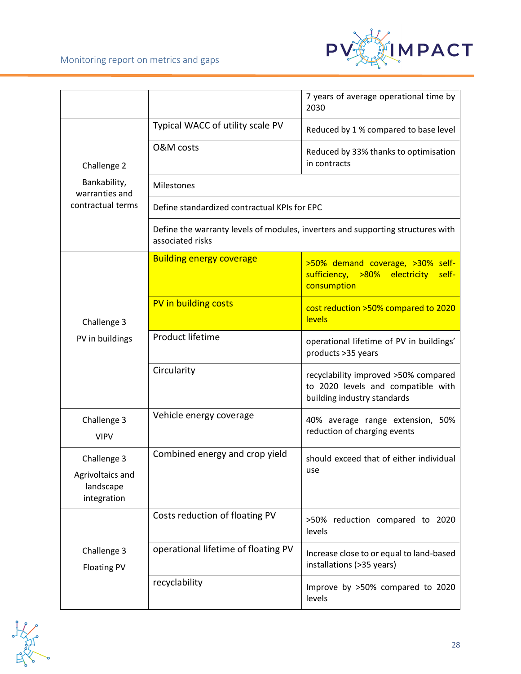

|                                                             |                                              | 7 years of average operational time by<br>2030                                                            |
|-------------------------------------------------------------|----------------------------------------------|-----------------------------------------------------------------------------------------------------------|
|                                                             | Typical WACC of utility scale PV             | Reduced by 1 % compared to base level                                                                     |
| Challenge 2                                                 | O&M costs                                    | Reduced by 33% thanks to optimisation<br>in contracts                                                     |
| Bankability,<br>warranties and                              | Milestones                                   |                                                                                                           |
| contractual terms                                           | Define standardized contractual KPIs for EPC |                                                                                                           |
|                                                             | associated risks                             | Define the warranty levels of modules, inverters and supporting structures with                           |
|                                                             | <b>Building energy coverage</b>              | >50% demand coverage, >30% self-<br>sufficiency, >80% electricity<br>self-<br>consumption                 |
| Challenge 3                                                 | PV in building costs                         | cost reduction >50% compared to 2020<br>levels                                                            |
| PV in buildings                                             | Product lifetime                             | operational lifetime of PV in buildings'<br>products >35 years                                            |
|                                                             | Circularity                                  | recyclability improved >50% compared<br>to 2020 levels and compatible with<br>building industry standards |
| Challenge 3<br><b>VIPV</b>                                  | Vehicle energy coverage                      | 40% average range extension, 50%<br>reduction of charging events                                          |
| Challenge 3<br>Agrivoltaics and<br>landscape<br>integration | Combined energy and crop yield               | should exceed that of either individual<br>use                                                            |
|                                                             | Costs reduction of floating PV               | >50% reduction compared to 2020<br>levels                                                                 |
| Challenge 3<br><b>Floating PV</b>                           | operational lifetime of floating PV          | Increase close to or equal to land-based<br>installations (>35 years)                                     |
|                                                             | recyclability                                | Improve by >50% compared to 2020<br>levels                                                                |

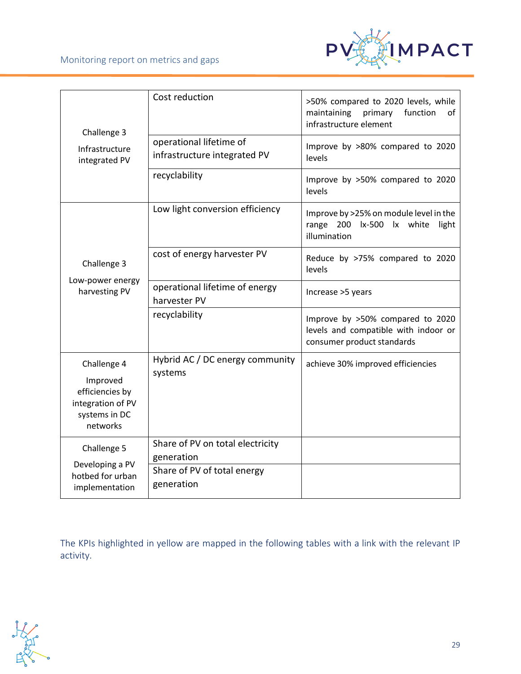

| Challenge 3                                                                                  | Cost reduction                                                                              | >50% compared to 2020 levels, while<br>maintaining<br>function<br>primary<br>of<br>infrastructure element |
|----------------------------------------------------------------------------------------------|---------------------------------------------------------------------------------------------|-----------------------------------------------------------------------------------------------------------|
| Infrastructure<br>integrated PV                                                              | operational lifetime of<br>infrastructure integrated PV                                     | Improve by >80% compared to 2020<br>levels                                                                |
|                                                                                              | recyclability                                                                               | Improve by >50% compared to 2020<br>levels                                                                |
|                                                                                              | Low light conversion efficiency                                                             | Improve by >25% on module level in the<br>range 200 lx-500 lx white light<br>illumination                 |
| Challenge 3                                                                                  | cost of energy harvester PV                                                                 | Reduce by >75% compared to 2020<br>levels                                                                 |
| Low-power energy<br>harvesting PV                                                            | operational lifetime of energy<br>harvester PV                                              | Increase >5 years                                                                                         |
|                                                                                              | recyclability                                                                               | Improve by >50% compared to 2020<br>levels and compatible with indoor or<br>consumer product standards    |
| Challenge 4<br>Improved<br>efficiencies by<br>integration of PV<br>systems in DC<br>networks | Hybrid AC / DC energy community<br>systems                                                  | achieve 30% improved efficiencies                                                                         |
| Challenge 5<br>Developing a PV<br>hotbed for urban<br>implementation                         | Share of PV on total electricity<br>generation<br>Share of PV of total energy<br>generation |                                                                                                           |

The KPIs highlighted in yellow are mapped in the following tables with a link with the relevant IP activity.

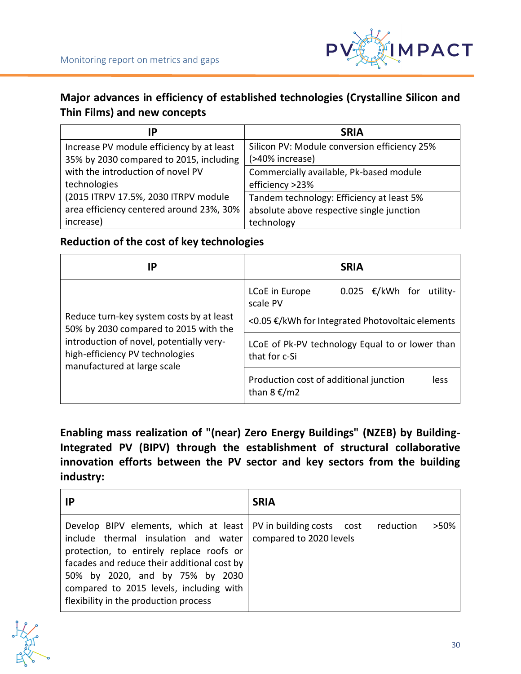

## **Major advances in efficiency of established technologies (Crystalline Silicon and Thin Films) and new concepts**

| IP                                        | <b>SRIA</b>                                  |
|-------------------------------------------|----------------------------------------------|
| Increase PV module efficiency by at least | Silicon PV: Module conversion efficiency 25% |
| 35% by 2030 compared to 2015, including   | (>40% increase)                              |
| with the introduction of novel PV         | Commercially available, Pk-based module      |
| technologies                              | efficiency >23%                              |
| (2015 ITRPV 17.5%, 2030 ITRPV module      | Tandem technology: Efficiency at least 5%    |
| area efficiency centered around 23%, 30%  | absolute above respective single junction    |
| increase)                                 | technology                                   |

### **Reduction of the cost of key technologies**

| IP                                                                                                                                                                                              | <b>SRIA</b>                                                            |
|-------------------------------------------------------------------------------------------------------------------------------------------------------------------------------------------------|------------------------------------------------------------------------|
| Reduce turn-key system costs by at least<br>50% by 2030 compared to 2015 with the<br>introduction of novel, potentially very-<br>high-efficiency PV technologies<br>manufactured at large scale | 0.025 €/kWh for utility-<br>LCoE in Europe<br>scale PV                 |
|                                                                                                                                                                                                 | <0.05 €/kWh for Integrated Photovoltaic elements                       |
|                                                                                                                                                                                                 | LCoE of Pk-PV technology Equal to or lower than<br>that for c-Si       |
|                                                                                                                                                                                                 | Production cost of additional junction<br>less<br>than $8 \epsilon/m2$ |

**Enabling mass realization of "(near) Zero Energy Buildings" (NZEB) by Building-Integrated PV (BIPV) through the establishment of structural collaborative innovation efforts between the PV sector and key sectors from the building industry:**

| ΙP                                                                                                                                                                                                                                                                                                                                                              | <b>SRIA</b> |
|-----------------------------------------------------------------------------------------------------------------------------------------------------------------------------------------------------------------------------------------------------------------------------------------------------------------------------------------------------------------|-------------|
| Develop BIPV elements, which at least   PV in building costs cost reduction<br>include thermal insulation and water   compared to 2020 levels<br>protection, to entirely replace roofs or<br>facades and reduce their additional cost by<br>50% by 2020, and by 75% by 2030<br>compared to 2015 levels, including with<br>flexibility in the production process | >50%        |

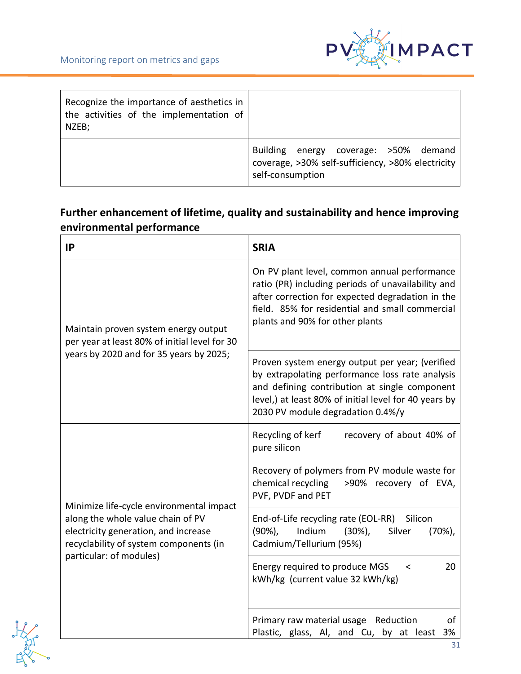

| Recognize the importance of aesthetics in<br>the activities of the implementation of<br>NZEB; |                                                                                                                |
|-----------------------------------------------------------------------------------------------|----------------------------------------------------------------------------------------------------------------|
|                                                                                               | Building energy coverage: >50% demand<br>coverage, >30% self-sufficiency, >80% electricity<br>self-consumption |

## **Further enhancement of lifetime, quality and sustainability and hence improving environmental performance**

| <b>IP</b>                                                                                                                                                                                  | <b>SRIA</b>                                                                                                                                                                                                                                       |
|--------------------------------------------------------------------------------------------------------------------------------------------------------------------------------------------|---------------------------------------------------------------------------------------------------------------------------------------------------------------------------------------------------------------------------------------------------|
| Maintain proven system energy output<br>per year at least 80% of initial level for 30<br>years by 2020 and for 35 years by 2025;                                                           | On PV plant level, common annual performance<br>ratio (PR) including periods of unavailability and<br>after correction for expected degradation in the<br>field. 85% for residential and small commercial<br>plants and 90% for other plants      |
|                                                                                                                                                                                            | Proven system energy output per year; (verified<br>by extrapolating performance loss rate analysis<br>and defining contribution at single component<br>level,) at least 80% of initial level for 40 years by<br>2030 PV module degradation 0.4%/y |
| Minimize life-cycle environmental impact<br>along the whole value chain of PV<br>electricity generation, and increase<br>recyclability of system components (in<br>particular: of modules) | Recycling of kerf<br>recovery of about 40% of<br>pure silicon                                                                                                                                                                                     |
|                                                                                                                                                                                            | Recovery of polymers from PV module waste for<br>chemical recycling >90% recovery of EVA,<br>PVF, PVDF and PET                                                                                                                                    |
|                                                                                                                                                                                            | End-of-Life recycling rate (EOL-RR) Silicon<br>Indium<br>$(90\%)$ ,<br>$(30\%)$ ,<br>Silver<br>(70%)<br>Cadmium/Tellurium (95%)                                                                                                                   |
|                                                                                                                                                                                            | Energy required to produce MGS<br>20<br>≺<br>kWh/kg (current value 32 kWh/kg)                                                                                                                                                                     |
|                                                                                                                                                                                            | Primary raw material usage Reduction<br>οf<br>Plastic, glass, Al, and Cu, by at least<br>3%                                                                                                                                                       |

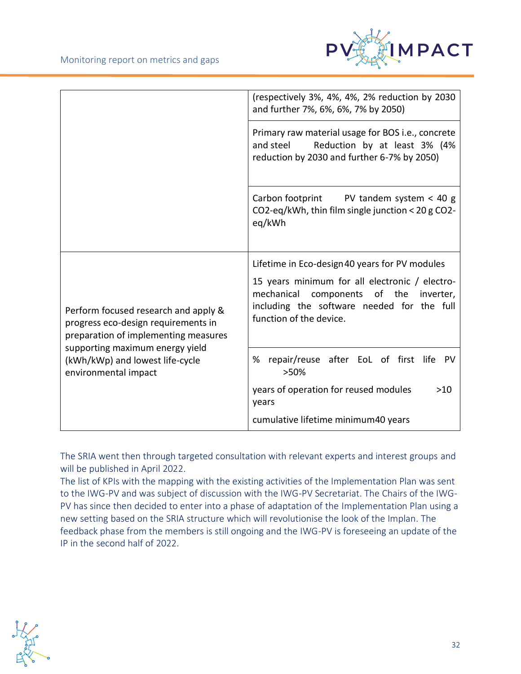

|                                                                                                                                                                                                                   | (respectively 3%, 4%, 4%, 2% reduction by 2030<br>and further 7%, 6%, 6%, 7% by 2050)                                                                                |
|-------------------------------------------------------------------------------------------------------------------------------------------------------------------------------------------------------------------|----------------------------------------------------------------------------------------------------------------------------------------------------------------------|
|                                                                                                                                                                                                                   | Primary raw material usage for BOS i.e., concrete<br>and steel<br>Reduction by at least 3% (4%<br>reduction by 2030 and further 6-7% by 2050)                        |
|                                                                                                                                                                                                                   | Carbon footprint PV tandem system $<$ 40 g<br>CO2-eq/kWh, thin film single junction < 20 g CO2-<br>eq/kWh                                                            |
| Perform focused research and apply &<br>progress eco-design requirements in<br>preparation of implementing measures<br>supporting maximum energy yield<br>(kWh/kWp) and lowest life-cycle<br>environmental impact | Lifetime in Eco-design 40 years for PV modules                                                                                                                       |
|                                                                                                                                                                                                                   | 15 years minimum for all electronic / electro-<br>mechanical components of the<br>inverter,<br>including the software needed for the full<br>function of the device. |
|                                                                                                                                                                                                                   | repair/reuse after EoL of first life<br>%<br><b>PV</b><br>>50%                                                                                                       |
|                                                                                                                                                                                                                   | years of operation for reused modules<br>$>10$<br>years                                                                                                              |
|                                                                                                                                                                                                                   | cumulative lifetime minimum40 years                                                                                                                                  |

The SRIA went then through targeted consultation with relevant experts and interest groups and will be published in April 2022.

The list of KPIs with the mapping with the existing activities of the Implementation Plan was sent to the IWG-PV and was subject of discussion with the IWG-PV Secretariat. The Chairs of the IWG-PV has since then decided to enter into a phase of adaptation of the Implementation Plan using a new setting based on the SRIA structure which will revolutionise the look of the Implan. The feedback phase from the members is still ongoing and the IWG-PV is foreseeing an update of the IP in the second half of 2022.